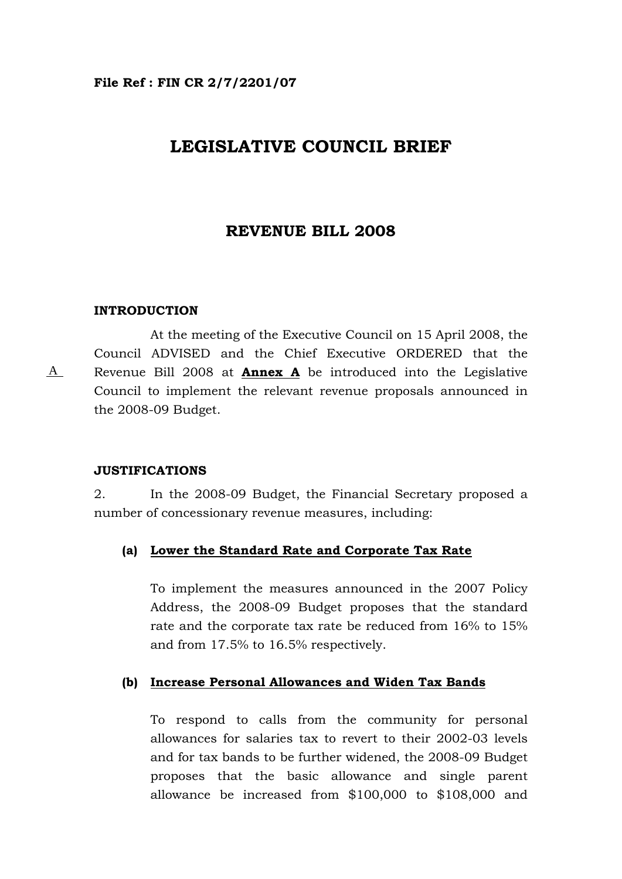# **LEGISLATIVE COUNCIL BRIEF**

## **REVENUE BILL 2008**

### **INTRODUCTION**

A

 At the meeting of the Executive Council on 15 April 2008, the Council ADVISED and the Chief Executive ORDERED that the Revenue Bill 2008 at **Annex A** be introduced into the Legislative Council to implement the relevant revenue proposals announced in the 2008-09 Budget.

#### **JUSTIFICATIONS**

2. In the 2008-09 Budget, the Financial Secretary proposed a number of concessionary revenue measures, including:

## **(a) Lower the Standard Rate and Corporate Tax Rate**

To implement the measures announced in the 2007 Policy Address, the 2008-09 Budget proposes that the standard rate and the corporate tax rate be reduced from 16% to 15% and from 17.5% to 16.5% respectively.

## **(b) Increase Personal Allowances and Widen Tax Bands**

To respond to calls from the community for personal allowances for salaries tax to revert to their 2002-03 levels and for tax bands to be further widened, the 2008-09 Budget proposes that the basic allowance and single parent allowance be increased from \$100,000 to \$108,000 and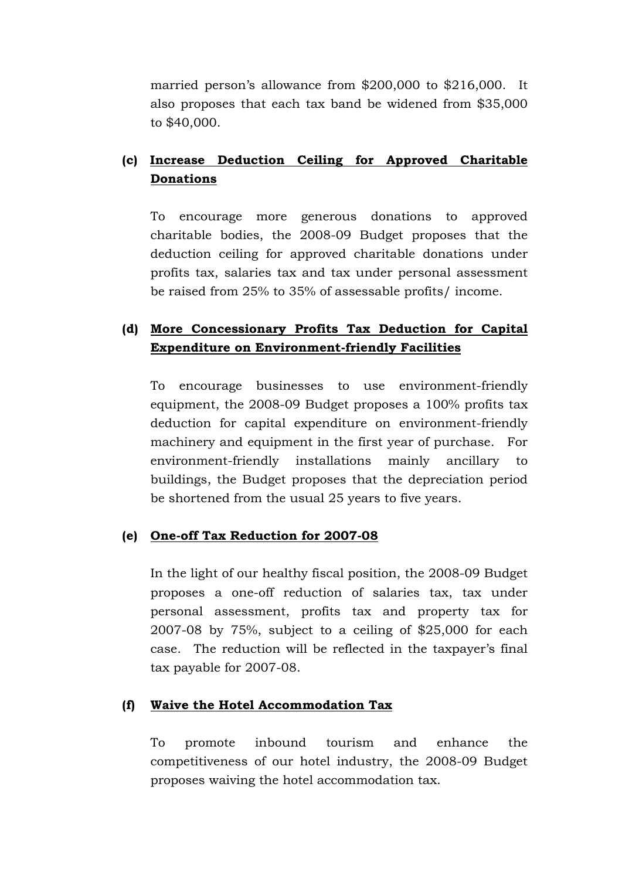married person's allowance from \$200,000 to \$216,000. It also proposes that each tax band be widened from \$35,000 to \$40,000.

# **(c) Increase Deduction Ceiling for Approved Charitable Donations**

To encourage more generous donations to approved charitable bodies, the 2008-09 Budget proposes that the deduction ceiling for approved charitable donations under profits tax, salaries tax and tax under personal assessment be raised from 25% to 35% of assessable profits/ income.

# **(d) More Concessionary Profits Tax Deduction for Capital Expenditure on Environment-friendly Facilities**

To encourage businesses to use environment-friendly equipment, the 2008-09 Budget proposes a 100% profits tax deduction for capital expenditure on environment-friendly machinery and equipment in the first year of purchase. For environment-friendly installations mainly ancillary to buildings, the Budget proposes that the depreciation period be shortened from the usual 25 years to five years.

## **(e) One-off Tax Reduction for 2007-08**

In the light of our healthy fiscal position, the 2008-09 Budget proposes a one-off reduction of salaries tax, tax under personal assessment, profits tax and property tax for 2007-08 by 75%, subject to a ceiling of \$25,000 for each case. The reduction will be reflected in the taxpayer's final tax payable for 2007-08.

## **(f) Waive the Hotel Accommodation Tax**

To promote inbound tourism and enhance the competitiveness of our hotel industry, the 2008-09 Budget proposes waiving the hotel accommodation tax.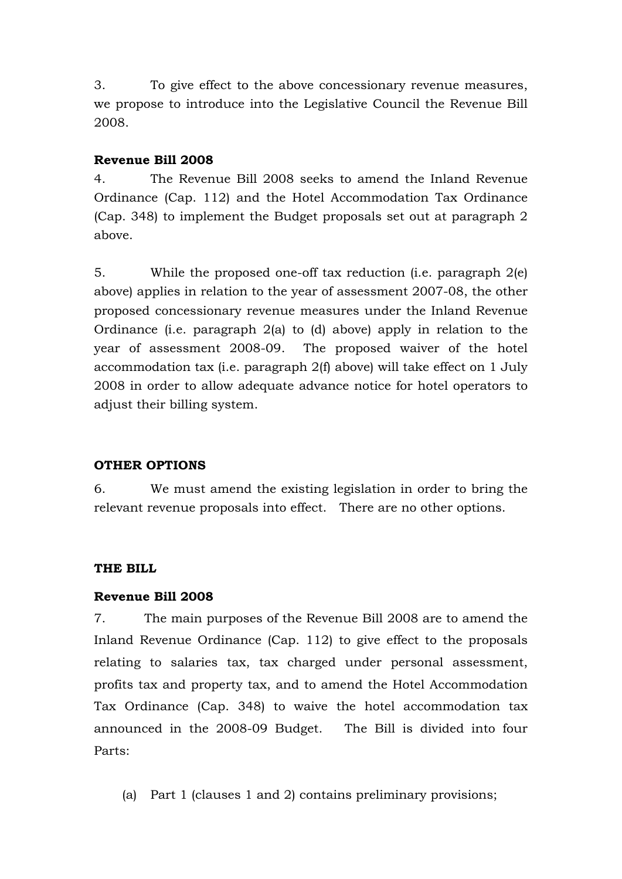3. To give effect to the above concessionary revenue measures, we propose to introduce into the Legislative Council the Revenue Bill 2008.

## **Revenue Bill 2008**

4. The Revenue Bill 2008 seeks to amend the Inland Revenue Ordinance (Cap. 112) and the Hotel Accommodation Tax Ordinance (Cap. 348) to implement the Budget proposals set out at paragraph 2 above.

5. While the proposed one-off tax reduction (i.e. paragraph 2(e) above) applies in relation to the year of assessment 2007-08, the other proposed concessionary revenue measures under the Inland Revenue Ordinance (i.e. paragraph 2(a) to (d) above) apply in relation to the year of assessment 2008-09. The proposed waiver of the hotel accommodation tax (i.e. paragraph 2(f) above) will take effect on 1 July 2008 in order to allow adequate advance notice for hotel operators to adjust their billing system.

## **OTHER OPTIONS**

6. We must amend the existing legislation in order to bring the relevant revenue proposals into effect. There are no other options.

## **THE BILL**

## **Revenue Bill 2008**

7. The main purposes of the Revenue Bill 2008 are to amend the Inland Revenue Ordinance (Cap. 112) to give effect to the proposals relating to salaries tax, tax charged under personal assessment, profits tax and property tax, and to amend the Hotel Accommodation Tax Ordinance (Cap. 348) to waive the hotel accommodation tax announced in the 2008-09 Budget. The Bill is divided into four Parts:

(a) Part 1 (clauses 1 and 2) contains preliminary provisions;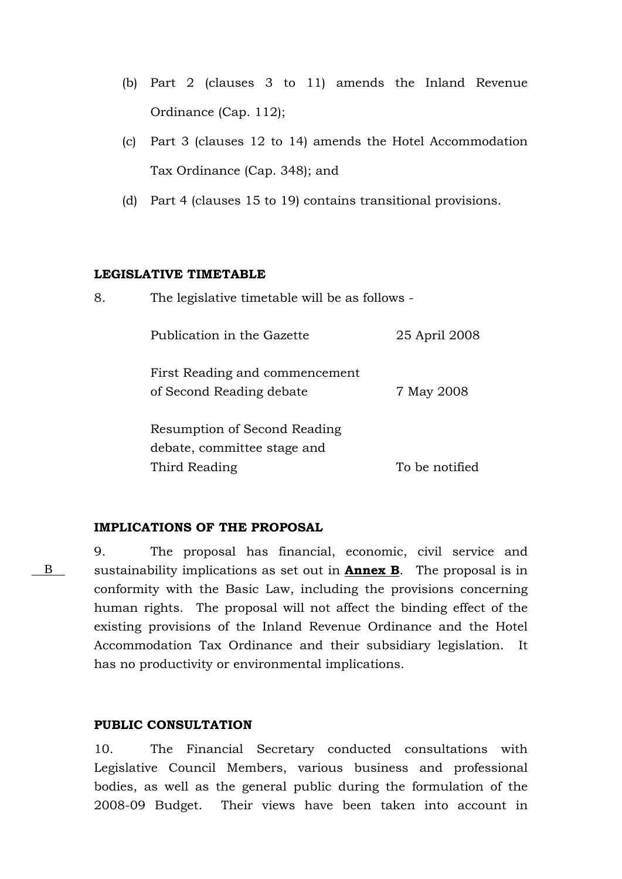- (b) Part 2 (clauses 3 to 11) amends the Inland Revenue Ordinance (Cap. 112);
- (c) Part 3 (clauses 12 to 14) amends the Hotel Accommodation Tax Ordinance (Cap. 348); and
- (d) Part 4 (clauses 15 to 19) contains transitional provisions.

## **LEGISLATIVE TIMETABLE**

| 8. | The legislative timetable will be as follows -              |                |  |  |  |
|----|-------------------------------------------------------------|----------------|--|--|--|
|    | Publication in the Gazette                                  | 25 April 2008  |  |  |  |
|    | First Reading and commencement<br>of Second Reading debate  | 7 May 2008     |  |  |  |
|    | Resumption of Second Reading<br>debate, committee stage and |                |  |  |  |
|    | Third Reading                                               | To be notified |  |  |  |

### **IMPLICATIONS OF THE PROPOSAL**

9. The proposal has financial, economic, civil service and sustainability implications as set out in **Annex B**. The proposal is in conformity with the Basic Law, including the provisions concerning human rights. The proposal will not affect the binding effect of the existing provisions of the Inland Revenue Ordinance and the Hotel Accommodation Tax Ordinance and their subsidiary legislation. It has no productivity or environmental implications.

## **PUBLIC CONSULTATION**

B

10. The Financial Secretary conducted consultations with Legislative Council Members, various business and professional bodies, as well as the general public during the formulation of the 2008-09 Budget. Their views have been taken into account in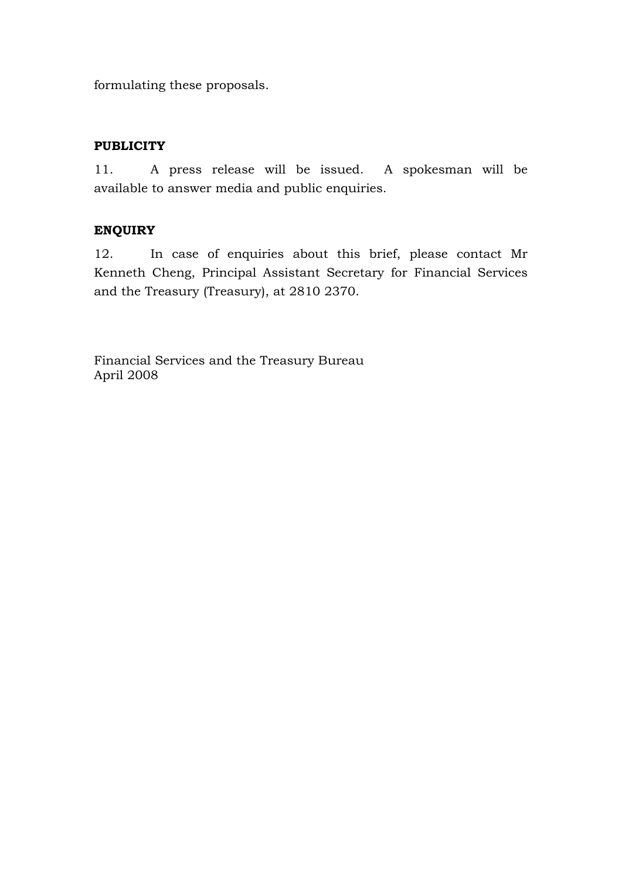formulating these proposals.

# **PUBLICITY**

11. A press release will be issued. A spokesman will be available to answer media and public enquiries.

# **ENQUIRY**

12. In case of enquiries about this brief, please contact Mr Kenneth Cheng, Principal Assistant Secretary for Financial Services and the Treasury (Treasury), at 2810 2370.

Financial Services and the Treasury Bureau April 2008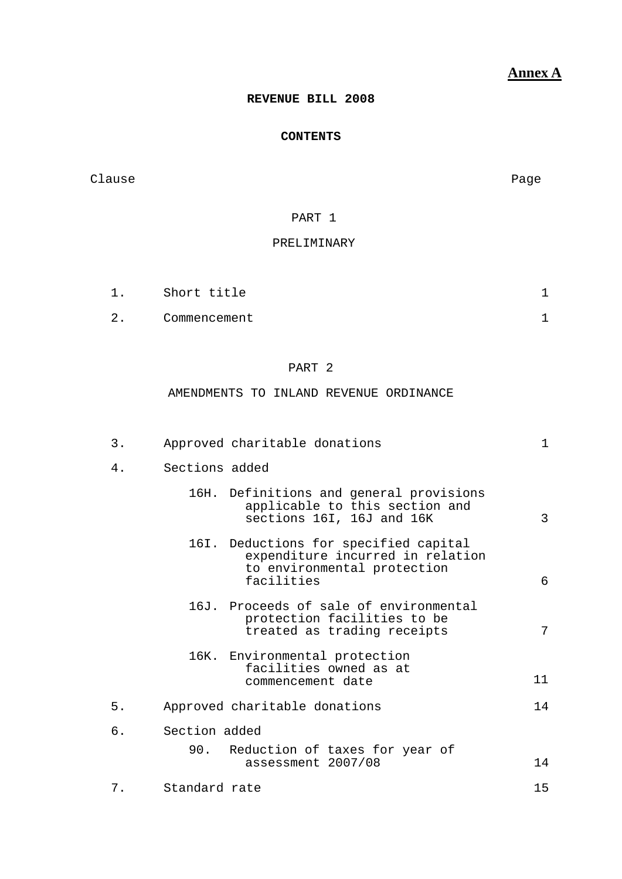# **Annex A**

## **REVENUE BILL 2008**

## **CONTENTS**

Clause **Page** 

## PART 1

#### PRELIMINARY

| 1. | Short title  |  |
|----|--------------|--|
| 2. | Commencement |  |

## PART 2

### AMENDMENTS TO INLAND REVENUE ORDINANCE

| $3$ . | Approved charitable donations                                                                                          | 1  |
|-------|------------------------------------------------------------------------------------------------------------------------|----|
| 4.    | Sections added                                                                                                         |    |
|       | 16H. Definitions and general provisions<br>applicable to this section and<br>sections 16I, 16J and 16K                 | 3  |
|       | 16I. Deductions for specified capital<br>expenditure incurred in relation<br>to environmental protection<br>facilities | 6  |
|       | 16J. Proceeds of sale of environmental<br>protection facilities to be<br>treated as trading receipts                   | 7  |
|       | 16K. Environmental protection<br>facilities owned as at<br>commencement date                                           | 11 |
| 5.    | Approved charitable donations                                                                                          | 14 |
| б.    | Section added                                                                                                          |    |
|       | 90. Reduction of taxes for year of<br>assessment 2007/08                                                               | 14 |
| 7.    | Standard rate                                                                                                          | 15 |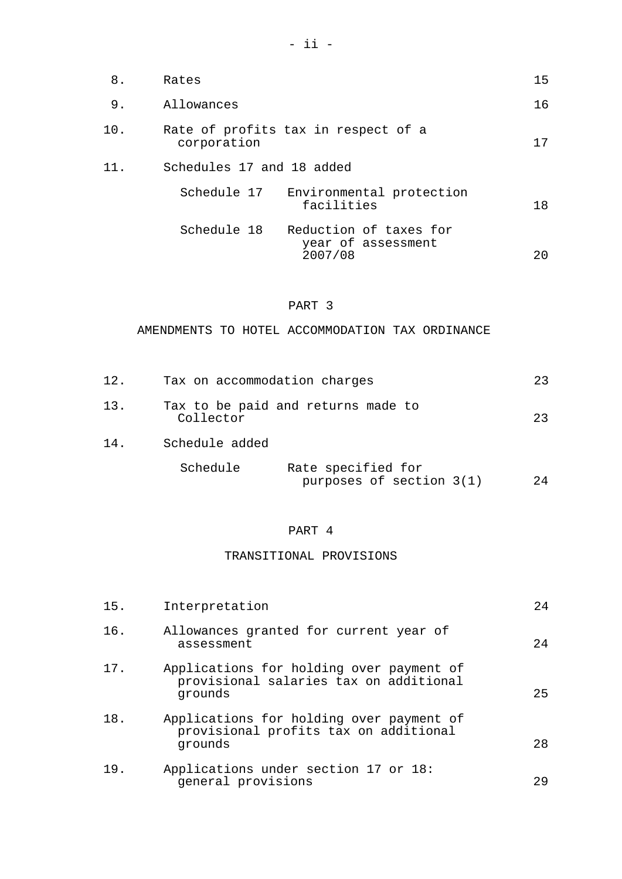| 8.  | Rates                     |                                              | 15 |
|-----|---------------------------|----------------------------------------------|----|
| 9.  | Allowances                |                                              | 16 |
| 10. | corporation               | Rate of profits tax in respect of a          | 17 |
| 11. | Schedules 17 and 18 added |                                              |    |
|     | Schedule 17               | Environmental protection<br>facilities       | 18 |
|     | Schedule 18               | Reduction of taxes for<br>year of assessment |    |

2007/08 20

### PART 3

AMENDMENTS TO HOTEL ACCOMMODATION TAX ORDINANCE

| 12. | Tax on accommodation charges |                                                | 23 |
|-----|------------------------------|------------------------------------------------|----|
| 13. | Collector                    | Tax to be paid and returns made to             | 23 |
| 14. | Schedule added               |                                                |    |
|     | Schedule                     | Rate specified for<br>purposes of section 3(1) | 24 |

## PART 4

## TRANSITIONAL PROVISIONS

| 15. | Interpretation                                                                                | 2.4 |
|-----|-----------------------------------------------------------------------------------------------|-----|
| 16. | Allowances granted for current year of<br>assessment                                          | 24  |
| 17. | Applications for holding over payment of<br>provisional salaries tax on additional<br>grounds | 25  |
| 18. | Applications for holding over payment of<br>provisional profits tax on additional<br>grounds  | 28  |
| 19. | Applications under section 17 or 18:<br>general provisions                                    | 29  |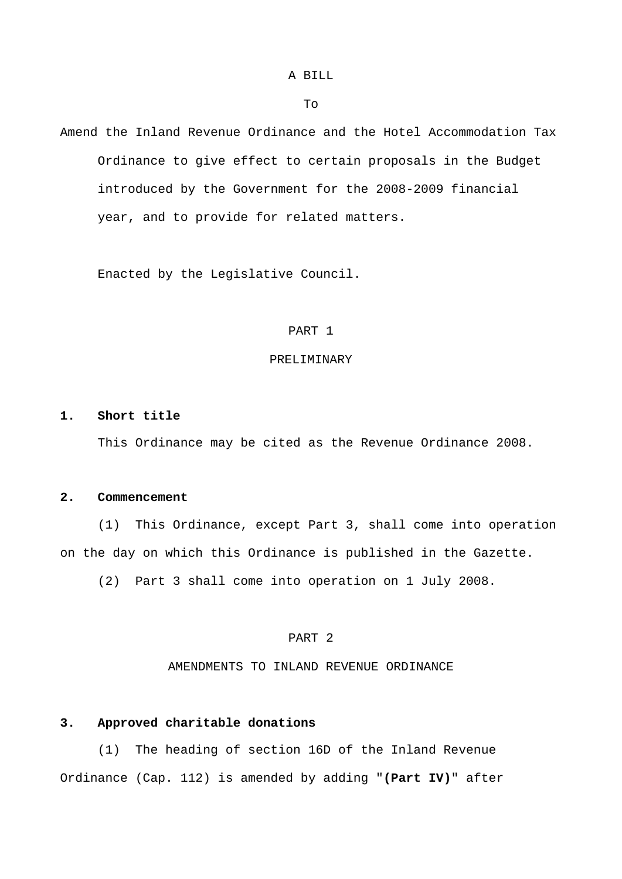### A BILL

To

Amend the Inland Revenue Ordinance and the Hotel Accommodation Tax Ordinance to give effect to certain proposals in the Budget introduced by the Government for the 2008-2009 financial year, and to provide for related matters.

Enacted by the Legislative Council.

#### PART 1

#### PRELIMINARY

#### **1. Short title**

This Ordinance may be cited as the Revenue Ordinance 2008.

#### **2. Commencement**

 (1) This Ordinance, except Part 3, shall come into operation on the day on which this Ordinance is published in the Gazette.

(2) Part 3 shall come into operation on 1 July 2008.

### PART 2

AMENDMENTS TO INLAND REVENUE ORDINANCE

#### **3. Approved charitable donations**

 (1) The heading of section 16D of the Inland Revenue Ordinance (Cap. 112) is amended by adding "**(Part IV)**" after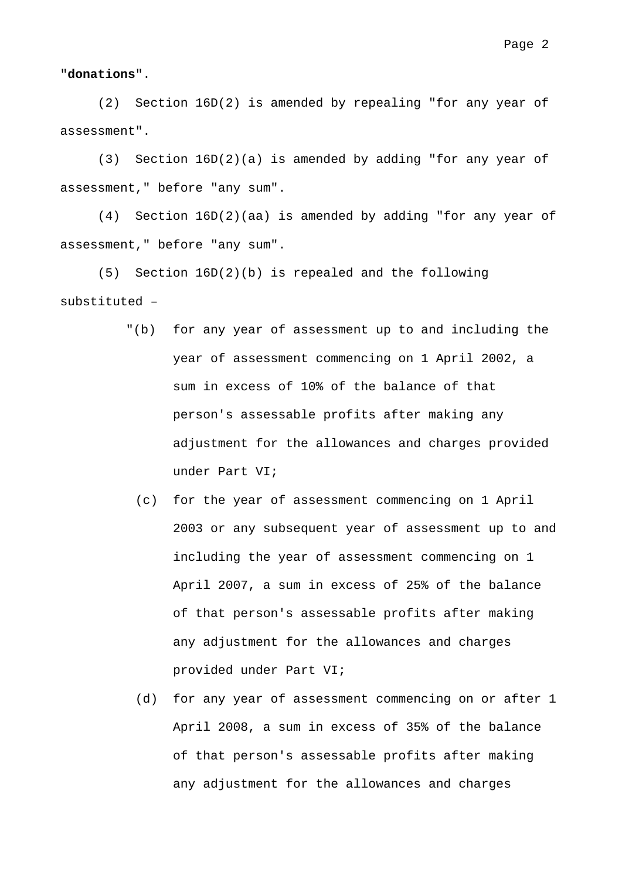"**donations**".

 (2) Section 16D(2) is amended by repealing "for any year of assessment".

 (3) Section 16D(2)(a) is amended by adding "for any year of assessment," before "any sum".

 (4) Section 16D(2)(aa) is amended by adding "for any year of assessment," before "any sum".

 (5) Section 16D(2)(b) is repealed and the following substituted –

- "(b) for any year of assessment up to and including the year of assessment commencing on 1 April 2002, a sum in excess of 10% of the balance of that person's assessable profits after making any adjustment for the allowances and charges provided under Part VI;
	- (c) for the year of assessment commencing on 1 April 2003 or any subsequent year of assessment up to and including the year of assessment commencing on 1 April 2007, a sum in excess of 25% of the balance of that person's assessable profits after making any adjustment for the allowances and charges provided under Part VI;
	- (d) for any year of assessment commencing on or after 1 April 2008, a sum in excess of 35% of the balance of that person's assessable profits after making any adjustment for the allowances and charges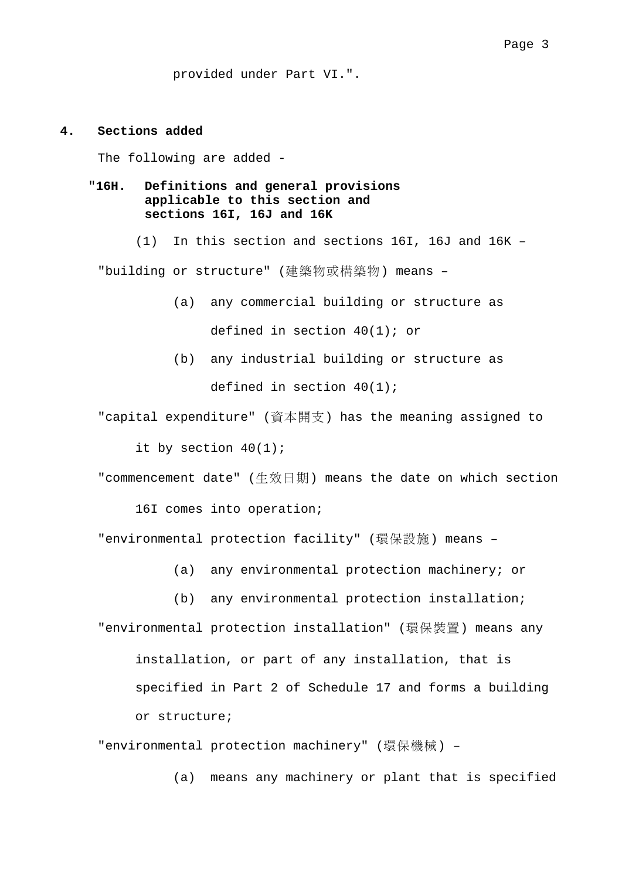provided under Part VI.".

#### **4. Sections added**

The following are added -

## "**16H. Definitions and general provisions applicable to this section and sections 16I, 16J and 16K**

(1) In this section and sections 16I, 16J and 16K –

"building or structure" (建築物或構築物) means –

- (a) any commercial building or structure as defined in section 40(1); or
- (b) any industrial building or structure as defined in section 40(1);

"capital expenditure" (資本開支) has the meaning assigned to

it by section 40(1);

"commencement date" (生效日期) means the date on which section

16I comes into operation;

"environmental protection facility" (環保設施) means –

(a) any environmental protection machinery; or

(b) any environmental protection installation; "environmental protection installation" (環保裝置) means any

installation, or part of any installation, that is specified in Part 2 of Schedule 17 and forms a building or structure;

"environmental protection machinery" (環保機械) –

(a) means any machinery or plant that is specified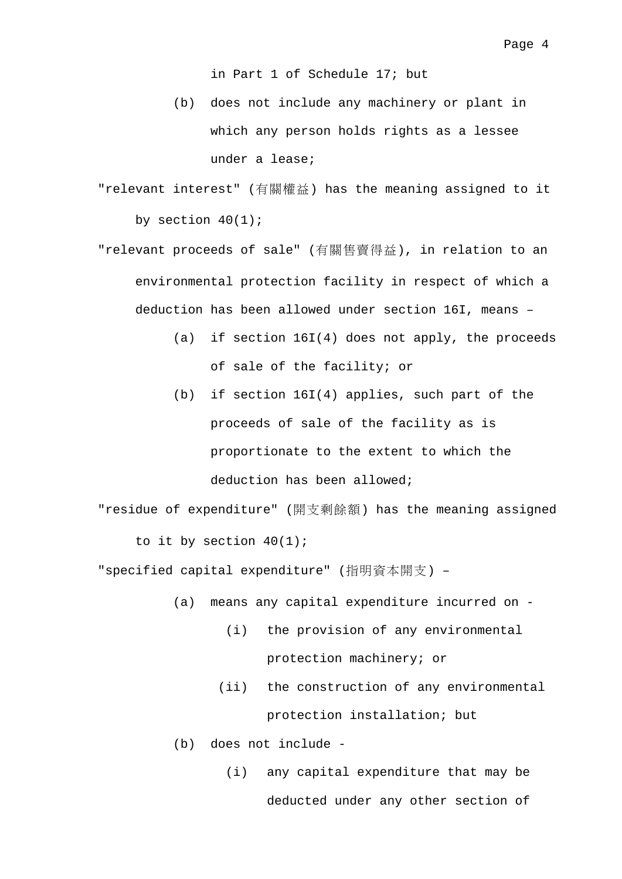in Part 1 of Schedule 17; but

- (b) does not include any machinery or plant in which any person holds rights as a lessee under a lease;
- "relevant interest" (有關權益) has the meaning assigned to it by section  $40(1)$ ;
- "relevant proceeds of sale" (有關售賣得益), in relation to an environmental protection facility in respect of which a deduction has been allowed under section 16I, means –
	- (a) if section 16I(4) does not apply, the proceeds of sale of the facility; or
	- (b) if section 16I(4) applies, such part of the proceeds of sale of the facility as is proportionate to the extent to which the deduction has been allowed;
- "residue of expenditure" (開支剩餘額) has the meaning assigned to it by section  $40(1)$ ;

"specified capital expenditure" (指明資本開支) –

- (a) means any capital expenditure incurred on
	- (i) the provision of any environmental protection machinery; or
	- (ii) the construction of any environmental protection installation; but

(b) does not include -

 (i) any capital expenditure that may be deducted under any other section of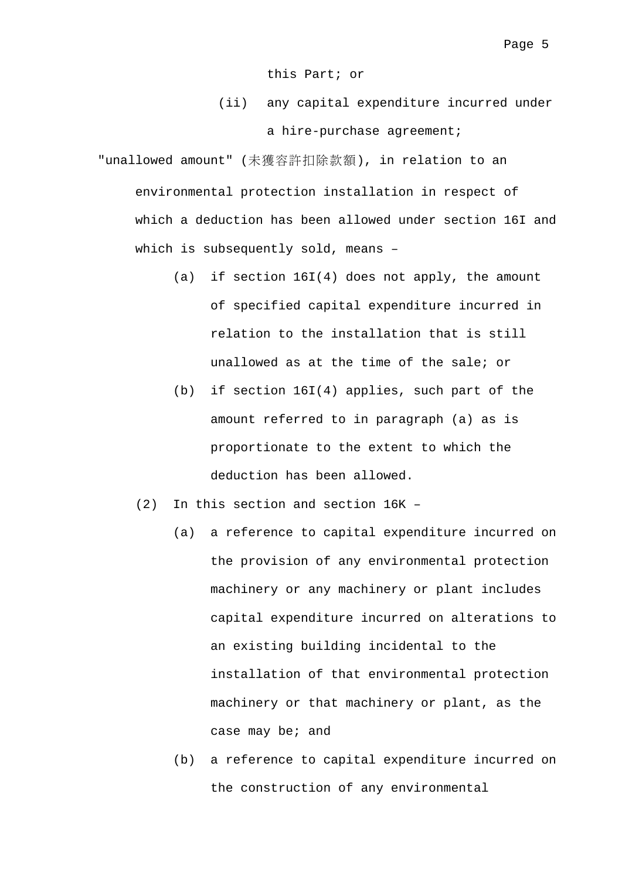this Part; or

 (ii) any capital expenditure incurred under a hire-purchase agreement;

"unallowed amount" (未獲容許扣除款額), in relation to an environmental protection installation in respect of which a deduction has been allowed under section 16I and which is subsequently sold, means –

- (a) if section 16I(4) does not apply, the amount of specified capital expenditure incurred in relation to the installation that is still unallowed as at the time of the sale; or
- (b) if section 16I(4) applies, such part of the amount referred to in paragraph (a) as is proportionate to the extent to which the deduction has been allowed.
- (2) In this section and section 16K
	- (a) a reference to capital expenditure incurred on the provision of any environmental protection machinery or any machinery or plant includes capital expenditure incurred on alterations to an existing building incidental to the installation of that environmental protection machinery or that machinery or plant, as the case may be; and
	- (b) a reference to capital expenditure incurred on the construction of any environmental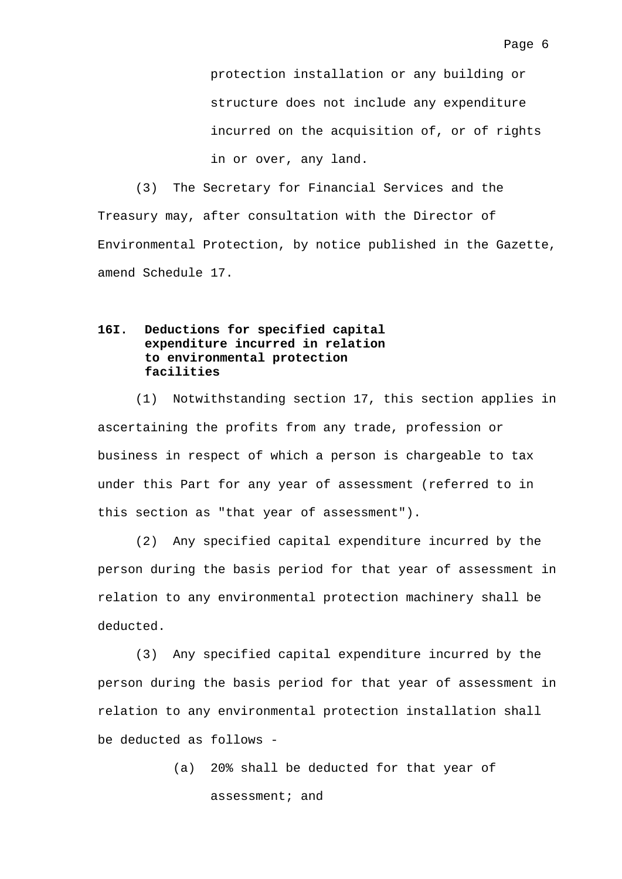protection installation or any building or structure does not include any expenditure incurred on the acquisition of, or of rights in or over, any land.

(3) The Secretary for Financial Services and the Treasury may, after consultation with the Director of Environmental Protection, by notice published in the Gazette, amend Schedule 17.

## **16I. Deductions for specified capital expenditure incurred in relation to environmental protection facilities**

(1) Notwithstanding section 17, this section applies in ascertaining the profits from any trade, profession or business in respect of which a person is chargeable to tax under this Part for any year of assessment (referred to in this section as "that year of assessment").

(2) Any specified capital expenditure incurred by the person during the basis period for that year of assessment in relation to any environmental protection machinery shall be deducted.

(3) Any specified capital expenditure incurred by the person during the basis period for that year of assessment in relation to any environmental protection installation shall be deducted as follows -

> (a) 20% shall be deducted for that year of assessment; and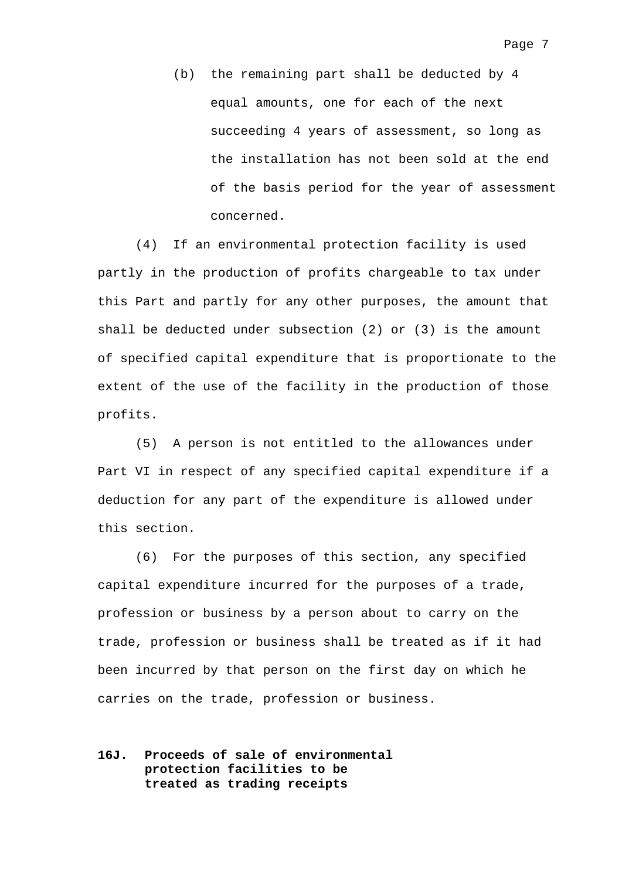(b) the remaining part shall be deducted by 4 equal amounts, one for each of the next succeeding 4 years of assessment, so long as the installation has not been sold at the end of the basis period for the year of assessment concerned.

(4) If an environmental protection facility is used partly in the production of profits chargeable to tax under this Part and partly for any other purposes, the amount that shall be deducted under subsection (2) or (3) is the amount of specified capital expenditure that is proportionate to the extent of the use of the facility in the production of those profits.

(5) A person is not entitled to the allowances under Part VI in respect of any specified capital expenditure if a deduction for any part of the expenditure is allowed under this section.

(6) For the purposes of this section, any specified capital expenditure incurred for the purposes of a trade, profession or business by a person about to carry on the trade, profession or business shall be treated as if it had been incurred by that person on the first day on which he carries on the trade, profession or business.

## **16J. Proceeds of sale of environmental protection facilities to be treated as trading receipts**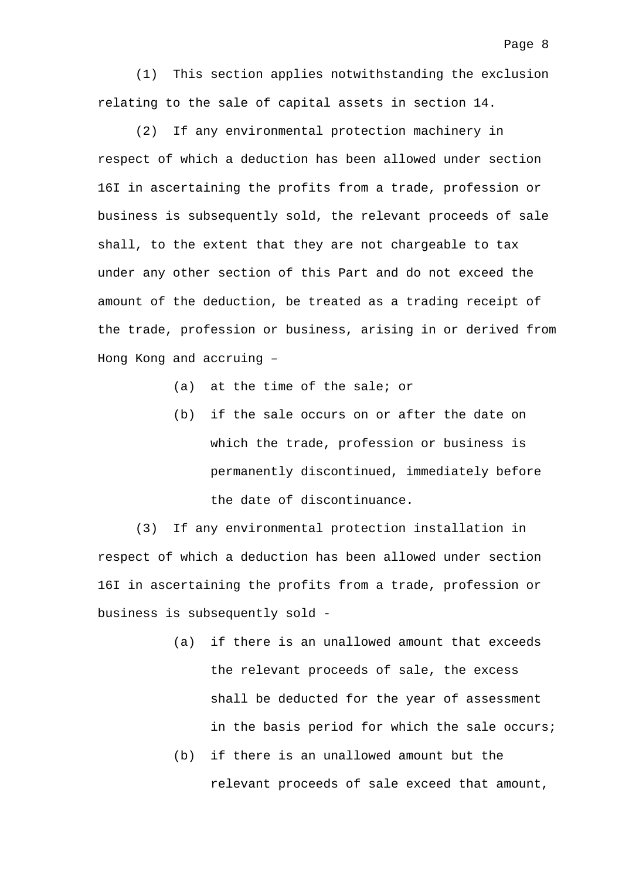(1) This section applies notwithstanding the exclusion relating to the sale of capital assets in section 14.

(2) If any environmental protection machinery in respect of which a deduction has been allowed under section 16I in ascertaining the profits from a trade, profession or business is subsequently sold, the relevant proceeds of sale shall, to the extent that they are not chargeable to tax under any other section of this Part and do not exceed the amount of the deduction, be treated as a trading receipt of the trade, profession or business, arising in or derived from Hong Kong and accruing –

- (a) at the time of the sale; or
- (b) if the sale occurs on or after the date on which the trade, profession or business is permanently discontinued, immediately before the date of discontinuance.

(3) If any environmental protection installation in respect of which a deduction has been allowed under section 16I in ascertaining the profits from a trade, profession or business is subsequently sold -

- (a) if there is an unallowed amount that exceeds the relevant proceeds of sale, the excess shall be deducted for the year of assessment in the basis period for which the sale occurs;
- (b) if there is an unallowed amount but the relevant proceeds of sale exceed that amount,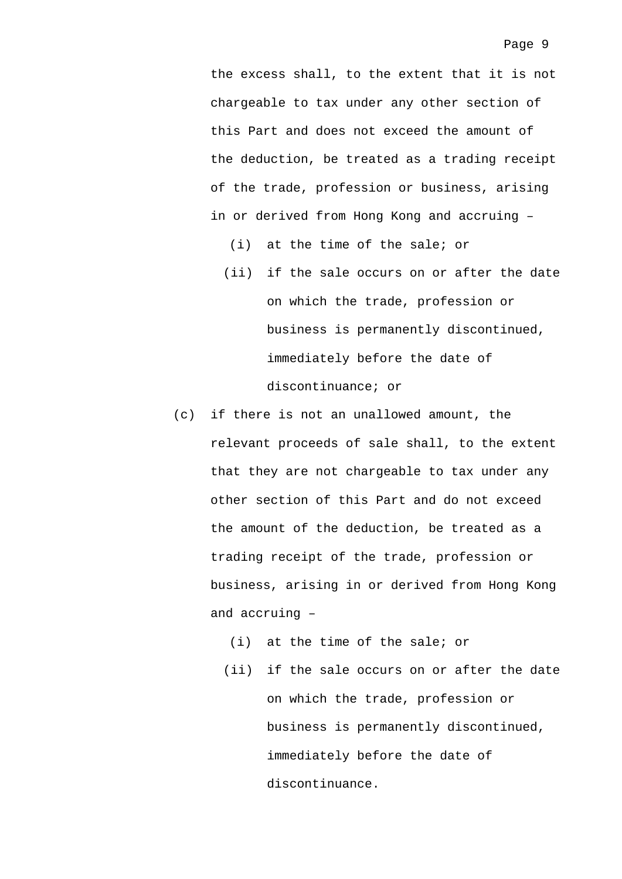the excess shall, to the extent that it is not chargeable to tax under any other section of this Part and does not exceed the amount of the deduction, be treated as a trading receipt of the trade, profession or business, arising in or derived from Hong Kong and accruing –

- (i) at the time of the sale; or (ii) if the sale occurs on or after the date on which the trade, profession or business is permanently discontinued, immediately before the date of discontinuance; or
- (c) if there is not an unallowed amount, the relevant proceeds of sale shall, to the extent that they are not chargeable to tax under any other section of this Part and do not exceed the amount of the deduction, be treated as a trading receipt of the trade, profession or business, arising in or derived from Hong Kong and accruing –
	- (i) at the time of the sale; or
	- (ii) if the sale occurs on or after the date on which the trade, profession or business is permanently discontinued, immediately before the date of discontinuance.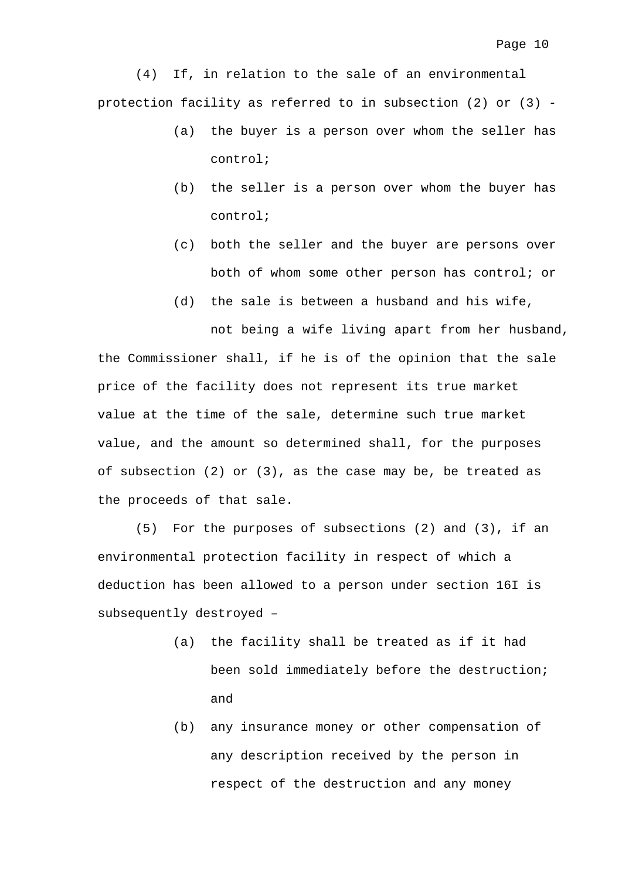(4) If, in relation to the sale of an environmental protection facility as referred to in subsection (2) or (3) -

- (a) the buyer is a person over whom the seller has control;
- (b) the seller is a person over whom the buyer has control;
- (c) both the seller and the buyer are persons over both of whom some other person has control; or
- (d) the sale is between a husband and his wife,

not being a wife living apart from her husband, the Commissioner shall, if he is of the opinion that the sale price of the facility does not represent its true market value at the time of the sale, determine such true market value, and the amount so determined shall, for the purposes of subsection (2) or (3), as the case may be, be treated as the proceeds of that sale.

(5) For the purposes of subsections (2) and (3), if an environmental protection facility in respect of which a deduction has been allowed to a person under section 16I is subsequently destroyed –

- (a) the facility shall be treated as if it had been sold immediately before the destruction; and
- (b) any insurance money or other compensation of any description received by the person in respect of the destruction and any money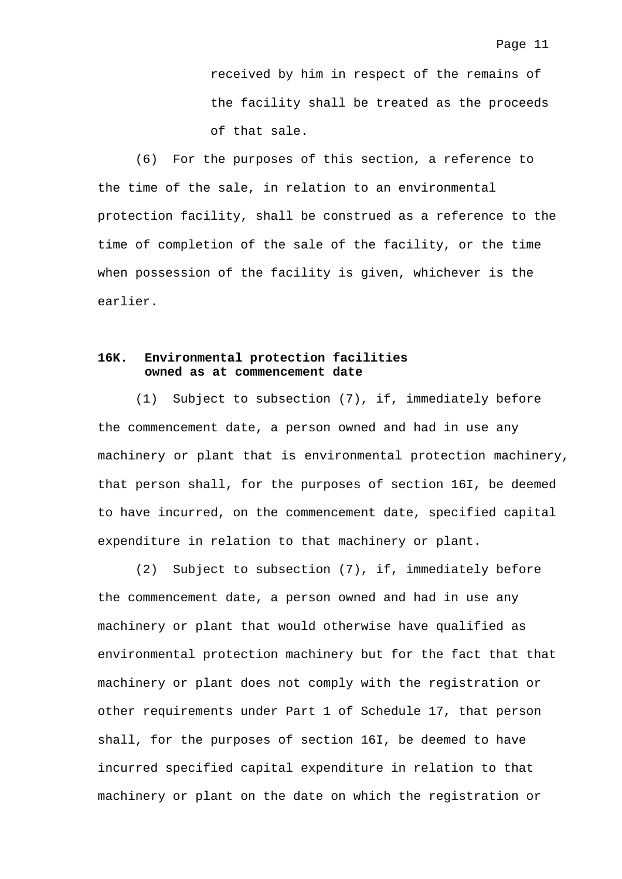received by him in respect of the remains of the facility shall be treated as the proceeds of that sale.

(6) For the purposes of this section, a reference to the time of the sale, in relation to an environmental protection facility, shall be construed as a reference to the time of completion of the sale of the facility, or the time when possession of the facility is given, whichever is the earlier.

## **16K. Environmental protection facilities owned as at commencement date**

(1) Subject to subsection (7), if, immediately before the commencement date, a person owned and had in use any machinery or plant that is environmental protection machinery, that person shall, for the purposes of section 16I, be deemed to have incurred, on the commencement date, specified capital expenditure in relation to that machinery or plant.

(2) Subject to subsection (7), if, immediately before the commencement date, a person owned and had in use any machinery or plant that would otherwise have qualified as environmental protection machinery but for the fact that that machinery or plant does not comply with the registration or other requirements under Part 1 of Schedule 17, that person shall, for the purposes of section 16I, be deemed to have incurred specified capital expenditure in relation to that machinery or plant on the date on which the registration or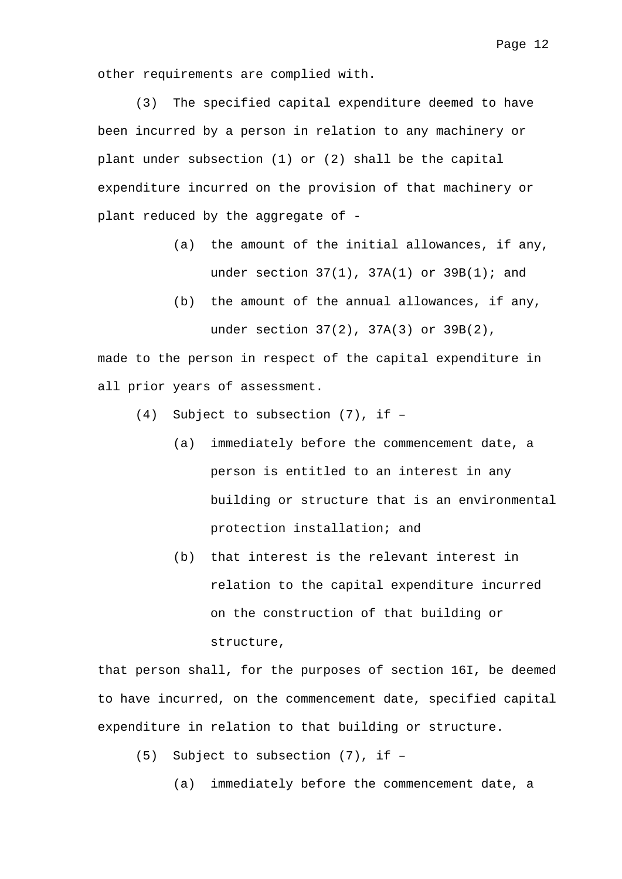other requirements are complied with.

(3) The specified capital expenditure deemed to have been incurred by a person in relation to any machinery or plant under subsection (1) or (2) shall be the capital expenditure incurred on the provision of that machinery or plant reduced by the aggregate of -

- (a) the amount of the initial allowances, if any, under section  $37(1)$ ,  $37A(1)$  or  $39B(1)$ ; and
- (b) the amount of the annual allowances, if any, under section 37(2), 37A(3) or 39B(2),

made to the person in respect of the capital expenditure in all prior years of assessment.

- (4) Subject to subsection (7), if
	- (a) immediately before the commencement date, a person is entitled to an interest in any building or structure that is an environmental protection installation; and
	- (b) that interest is the relevant interest in relation to the capital expenditure incurred on the construction of that building or structure,

that person shall, for the purposes of section 16I, be deemed to have incurred, on the commencement date, specified capital expenditure in relation to that building or structure.

- (5) Subject to subsection (7), if
	- (a) immediately before the commencement date, a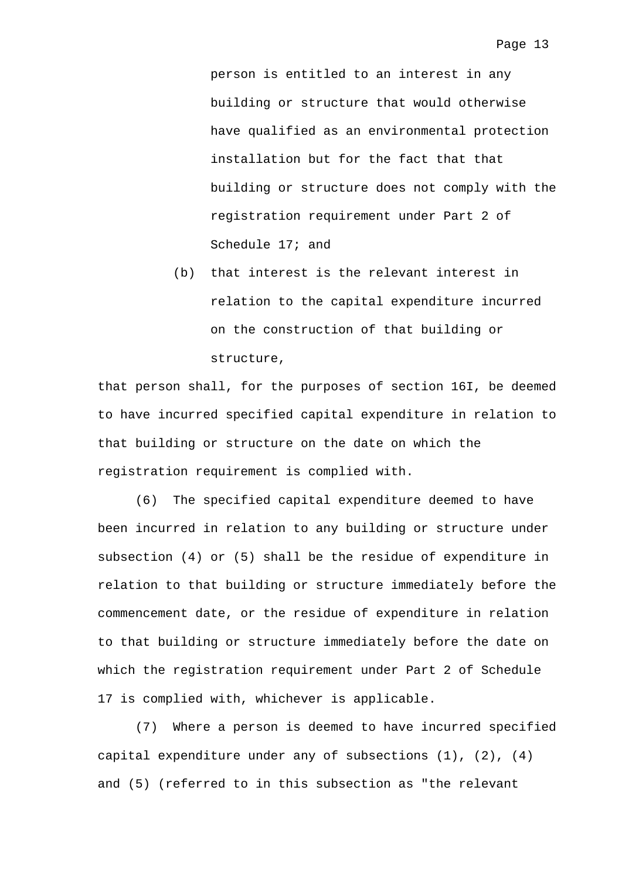person is entitled to an interest in any building or structure that would otherwise have qualified as an environmental protection installation but for the fact that that building or structure does not comply with the registration requirement under Part 2 of Schedule 17; and

(b) that interest is the relevant interest in relation to the capital expenditure incurred on the construction of that building or structure,

that person shall, for the purposes of section 16I, be deemed to have incurred specified capital expenditure in relation to that building or structure on the date on which the registration requirement is complied with.

(6) The specified capital expenditure deemed to have been incurred in relation to any building or structure under subsection (4) or (5) shall be the residue of expenditure in relation to that building or structure immediately before the commencement date, or the residue of expenditure in relation to that building or structure immediately before the date on which the registration requirement under Part 2 of Schedule 17 is complied with, whichever is applicable.

(7) Where a person is deemed to have incurred specified capital expenditure under any of subsections (1), (2), (4) and (5) (referred to in this subsection as "the relevant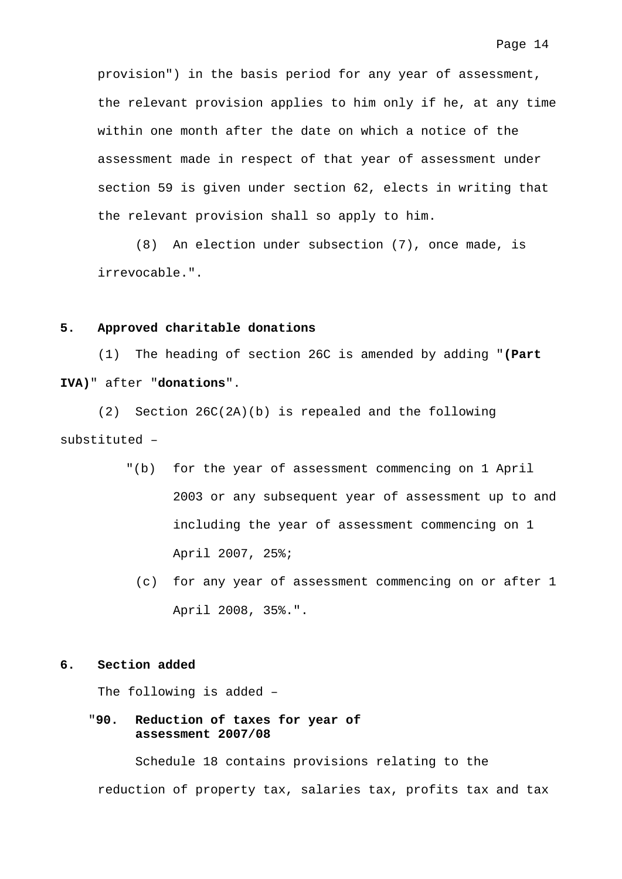provision") in the basis period for any year of assessment, the relevant provision applies to him only if he, at any time within one month after the date on which a notice of the assessment made in respect of that year of assessment under section 59 is given under section 62, elects in writing that the relevant provision shall so apply to him.

(8) An election under subsection (7), once made, is irrevocable.".

#### **5. Approved charitable donations**

 (1) The heading of section 26C is amended by adding "**(Part IVA)**" after "**donations**".

 (2) Section 26C(2A)(b) is repealed and the following substituted –

- "(b) for the year of assessment commencing on 1 April 2003 or any subsequent year of assessment up to and including the year of assessment commencing on 1 April 2007, 25%;
	- (c) for any year of assessment commencing on or after 1 April 2008, 35%.".

### **6. Section added**

The following is added –

"**90. Reduction of taxes for year of assessment 2007/08** 

 Schedule 18 contains provisions relating to the reduction of property tax, salaries tax, profits tax and tax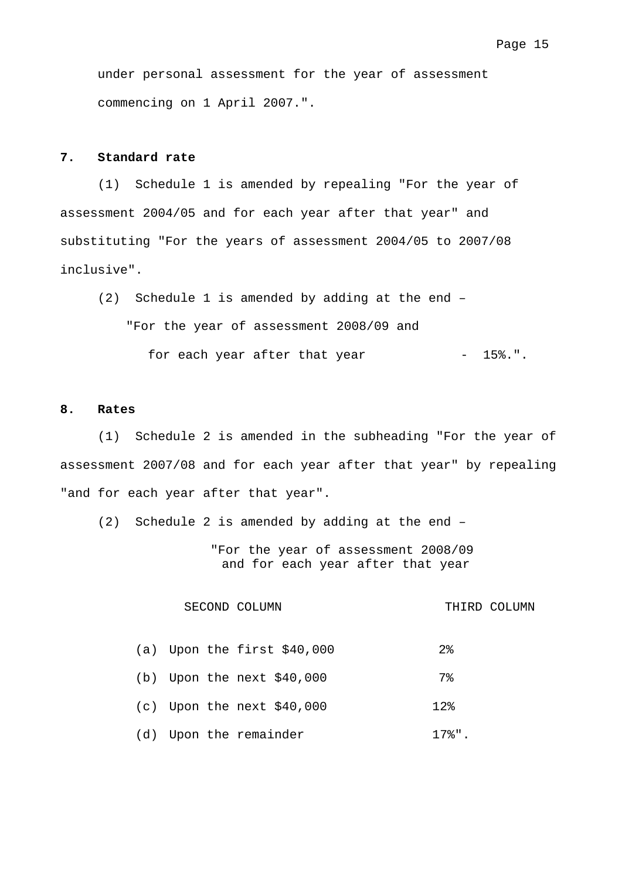under personal assessment for the year of assessment commencing on 1 April 2007.".

## **7. Standard rate**

 (1) Schedule 1 is amended by repealing "For the year of assessment 2004/05 and for each year after that year" and substituting "For the years of assessment 2004/05 to 2007/08 inclusive".

 (2) Schedule 1 is amended by adding at the end – "For the year of assessment 2008/09 and for each year after that year - 15%.".

#### **8. Rates**

 (1) Schedule 2 is amended in the subheading "For the year of assessment 2007/08 and for each year after that year" by repealing "and for each year after that year".

(2) Schedule 2 is amended by adding at the end –

"For the year of assessment 2008/09 and for each year after that year

#### SECOND COLUMN THIRD COLUMN

|  | (a) Upon the first $$40,000$ | $2\,$        |
|--|------------------------------|--------------|
|  | (b) Upon the next $$40,000$  | 7%           |
|  | $(c)$ Upon the next \$40,000 | $12$ $\circ$ |
|  | (d) Upon the remainder       | 17%".        |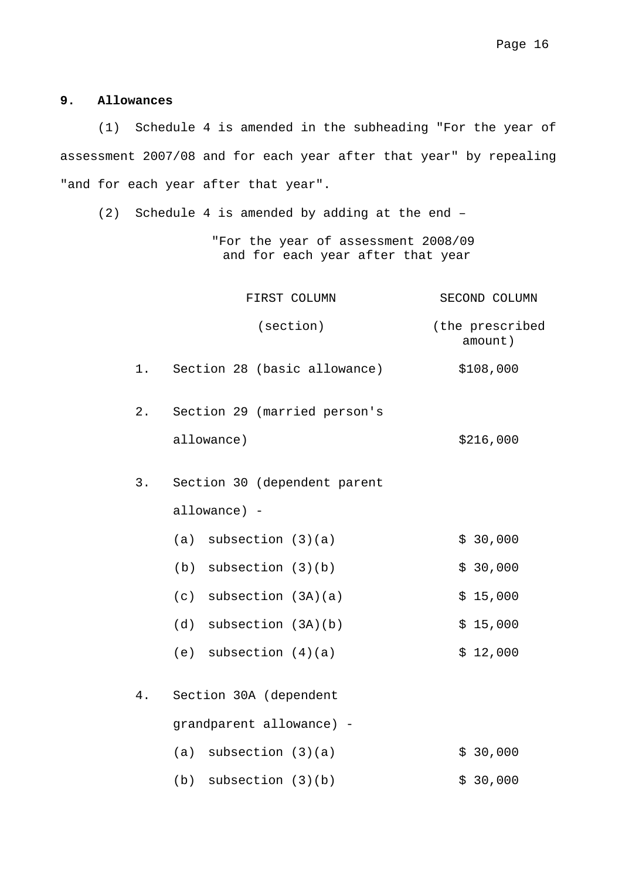## **9. Allowances**

 (1) Schedule 4 is amended in the subheading "For the year of assessment 2007/08 and for each year after that year" by repealing "and for each year after that year".

(2) Schedule 4 is amended by adding at the end –

"For the year of assessment 2008/09 and for each year after that year

|       | FIRST COLUMN                 | SECOND COLUMN              |
|-------|------------------------------|----------------------------|
|       | (section)                    | (the prescribed<br>amount) |
| $1$ . | Section 28 (basic allowance) | \$108,000                  |
| $2$ . | Section 29 (married person's |                            |
|       | allowance)                   | \$216,000                  |
| 3.    | Section 30 (dependent parent |                            |
|       | allowance) -                 |                            |
|       | $(a)$ subsection $(3)(a)$    | \$30,000                   |
|       | $(b)$ subsection $(3)(b)$    | \$30,000                   |
|       | $(c)$ subsection $(3A)(a)$   | \$15,000                   |
|       | $(d)$ subsection $(3A)(b)$   | \$15,000                   |
|       | (e) subsection $(4)(a)$      | \$12,000                   |
| 4.    | Section 30A (dependent       |                            |
|       | grandparent allowance) -     |                            |
|       | $(a)$ subsection $(3)(a)$    | \$30,000                   |
|       | subsection (3)(b)<br>(b)     | \$30,000                   |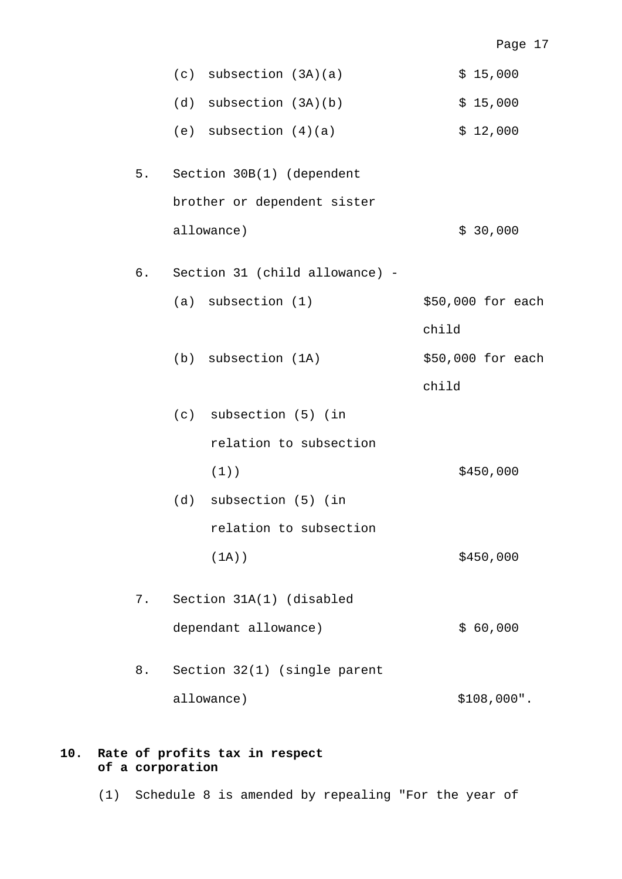|      | $(c)$ subsection $(3A)(a)$     | \$15,000          |
|------|--------------------------------|-------------------|
|      | subsection (3A)(b)<br>(d)      | \$15,000          |
|      | (e) subsection $(4)(a)$        | \$12,000          |
| $5.$ | Section 30B(1) (dependent      |                   |
|      | brother or dependent sister    |                   |
|      | allowance)                     | \$30,000          |
| б.   | Section 31 (child allowance) - |                   |
|      | $(a)$ subsection $(1)$         | \$50,000 for each |
|      |                                | child             |
|      | (b) subsection (1A)            | \$50,000 for each |
|      |                                | child             |
|      | (c) subsection (5) (in         |                   |
|      | relation to subsection         |                   |
|      | $(1)$ )                        | \$450,000         |
|      | (d) subsection (5) (in         |                   |
|      | relation to subsection         |                   |
|      | $(1A)$ )                       | \$450,000         |
| 7.   | Section 31A(1) (disabled       |                   |
|      | dependant allowance)           | \$60,000          |
| 8.   | Section 32(1) (single parent   |                   |
|      | allowance)                     | \$108,000".       |

## **10. Rate of profits tax in respect of a corporation**

(1) Schedule 8 is amended by repealing "For the year of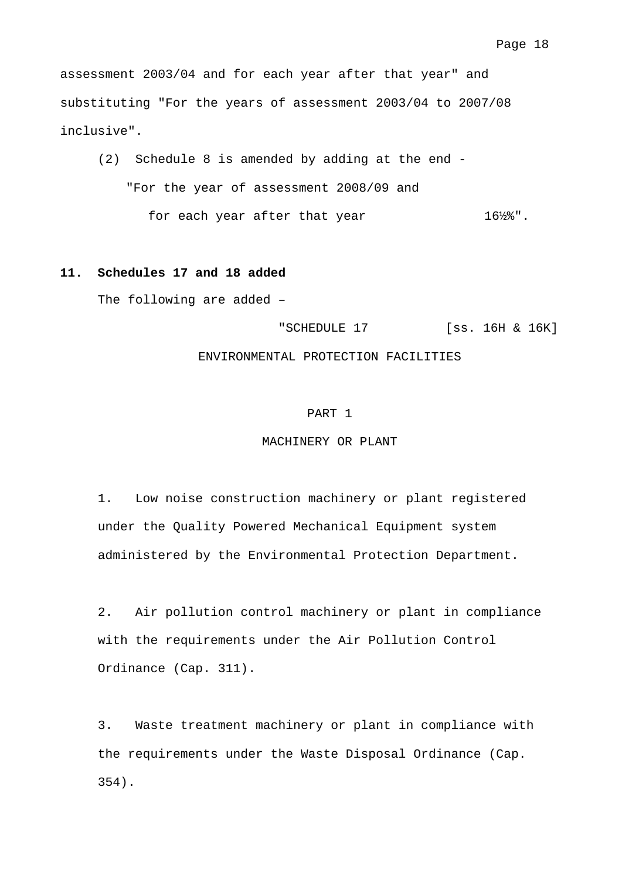assessment 2003/04 and for each year after that year" and substituting "For the years of assessment 2003/04 to 2007/08 inclusive".

 (2) Schedule 8 is amended by adding at the end - "For the year of assessment 2008/09 and for each year after that year 16½%".

### **11. Schedules 17 and 18 added**

The following are added –

"SCHEDULE 17 [ss. 16H & 16K]

#### ENVIRONMENTAL PROTECTION FACILITIES

#### PART 1

#### MACHINERY OR PLANT

1. Low noise construction machinery or plant registered under the Quality Powered Mechanical Equipment system administered by the Environmental Protection Department.

2. Air pollution control machinery or plant in compliance with the requirements under the Air Pollution Control Ordinance (Cap. 311).

3. Waste treatment machinery or plant in compliance with the requirements under the Waste Disposal Ordinance (Cap. 354).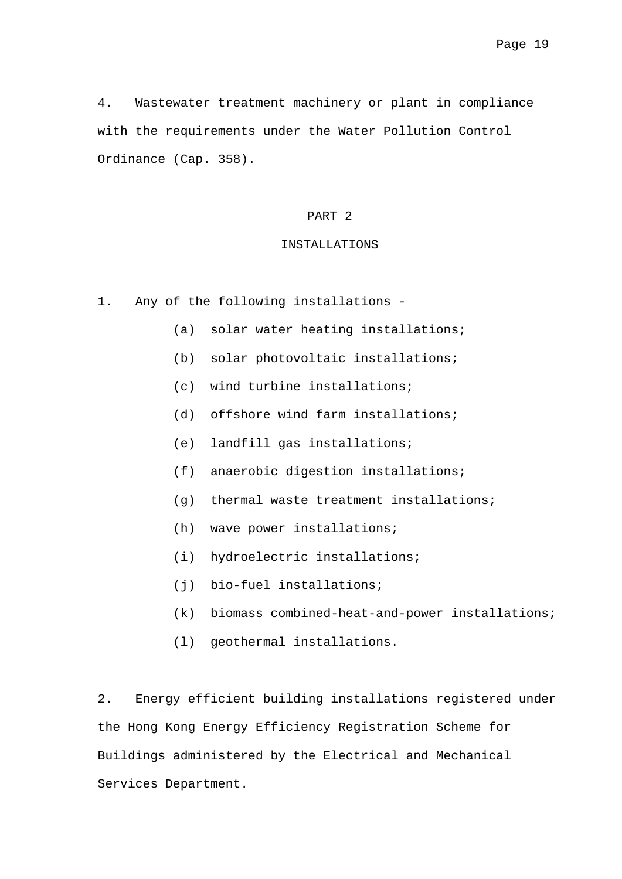4. Wastewater treatment machinery or plant in compliance with the requirements under the Water Pollution Control Ordinance (Cap. 358).

### PART 2

#### INSTALLATIONS

- 1. Any of the following installations
	- (a) solar water heating installations;
	- (b) solar photovoltaic installations;
	- (c) wind turbine installations;
	- (d) offshore wind farm installations;
	- (e) landfill gas installations;
	- (f) anaerobic digestion installations;
	- (g) thermal waste treatment installations;
	- (h) wave power installations;
	- (i) hydroelectric installations;
	- (j) bio-fuel installations;
	- (k) biomass combined-heat-and-power installations;
	- (l) geothermal installations.

2. Energy efficient building installations registered under the Hong Kong Energy Efficiency Registration Scheme for Buildings administered by the Electrical and Mechanical Services Department.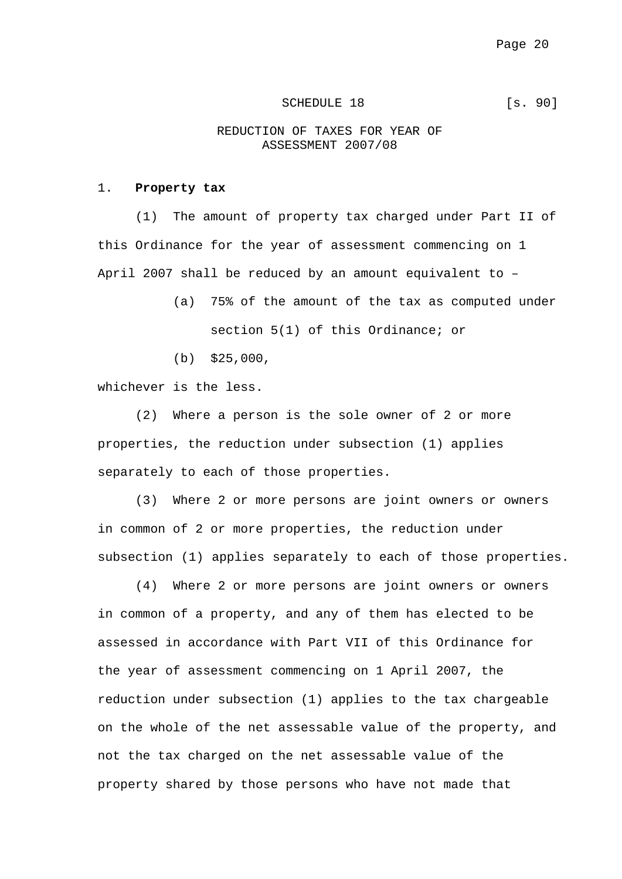#### SCHEDULE 18 [s. 90]

## REDUCTION OF TAXES FOR YEAR OF ASSESSMENT 2007/08

#### 1. **Property tax**

 (1) The amount of property tax charged under Part II of this Ordinance for the year of assessment commencing on 1 April 2007 shall be reduced by an amount equivalent to –

> (a) 75% of the amount of the tax as computed under section 5(1) of this Ordinance; or

(b) \$25,000,

whichever is the less.

(2) Where a person is the sole owner of 2 or more properties, the reduction under subsection (1) applies separately to each of those properties.

(3) Where 2 or more persons are joint owners or owners in common of 2 or more properties, the reduction under subsection (1) applies separately to each of those properties.

(4) Where 2 or more persons are joint owners or owners in common of a property, and any of them has elected to be assessed in accordance with Part VII of this Ordinance for the year of assessment commencing on 1 April 2007, the reduction under subsection (1) applies to the tax chargeable on the whole of the net assessable value of the property, and not the tax charged on the net assessable value of the property shared by those persons who have not made that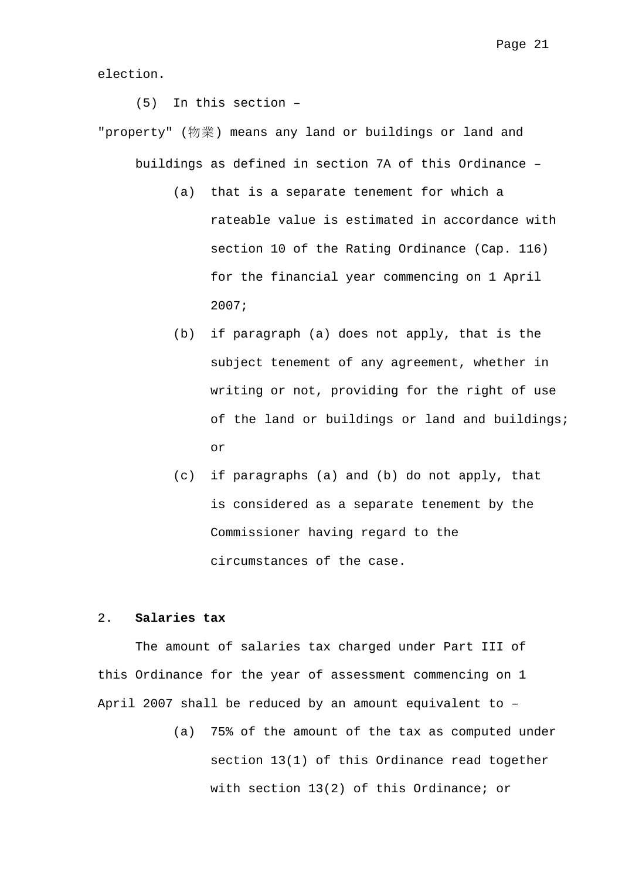election.

(5) In this section –

"property" (物業) means any land or buildings or land and buildings as defined in section 7A of this Ordinance –

- (a) that is a separate tenement for which a rateable value is estimated in accordance with section 10 of the Rating Ordinance (Cap. 116) for the financial year commencing on 1 April 2007;
- (b) if paragraph (a) does not apply, that is the subject tenement of any agreement, whether in writing or not, providing for the right of use of the land or buildings or land and buildings; or
- (c) if paragraphs (a) and (b) do not apply, that is considered as a separate tenement by the Commissioner having regard to the circumstances of the case.

#### 2. **Salaries tax**

 The amount of salaries tax charged under Part III of this Ordinance for the year of assessment commencing on 1 April 2007 shall be reduced by an amount equivalent to –

> (a) 75% of the amount of the tax as computed under section 13(1) of this Ordinance read together with section 13(2) of this Ordinance; or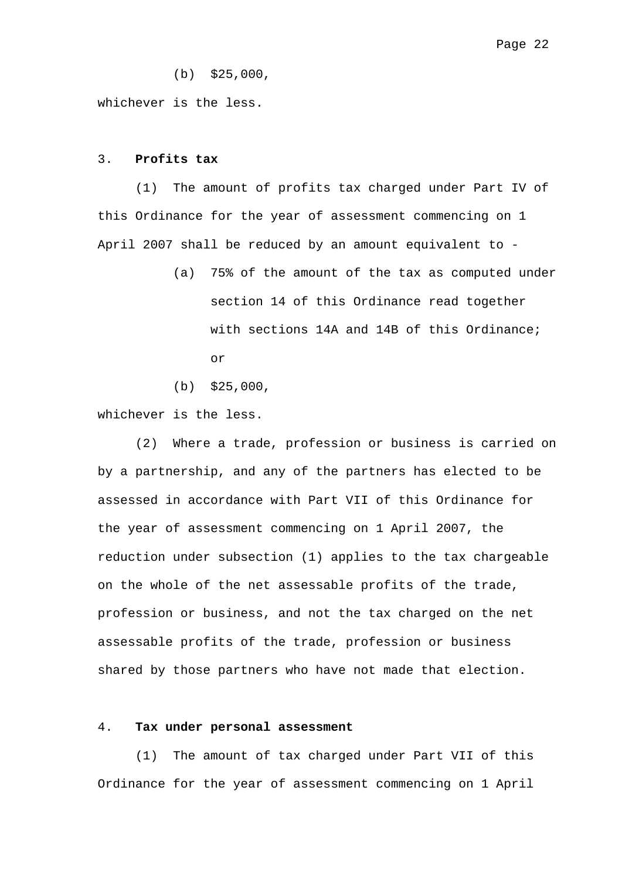(b) \$25,000,

whichever is the less.

#### 3. **Profits tax**

 (1) The amount of profits tax charged under Part IV of this Ordinance for the year of assessment commencing on 1 April 2007 shall be reduced by an amount equivalent to -

- (a) 75% of the amount of the tax as computed under section 14 of this Ordinance read together with sections 14A and 14B of this Ordinance; or
- (b) \$25,000,

whichever is the less.

 (2) Where a trade, profession or business is carried on by a partnership, and any of the partners has elected to be assessed in accordance with Part VII of this Ordinance for the year of assessment commencing on 1 April 2007, the reduction under subsection (1) applies to the tax chargeable on the whole of the net assessable profits of the trade, profession or business, and not the tax charged on the net assessable profits of the trade, profession or business shared by those partners who have not made that election.

### 4. **Tax under personal assessment**

 (1) The amount of tax charged under Part VII of this Ordinance for the year of assessment commencing on 1 April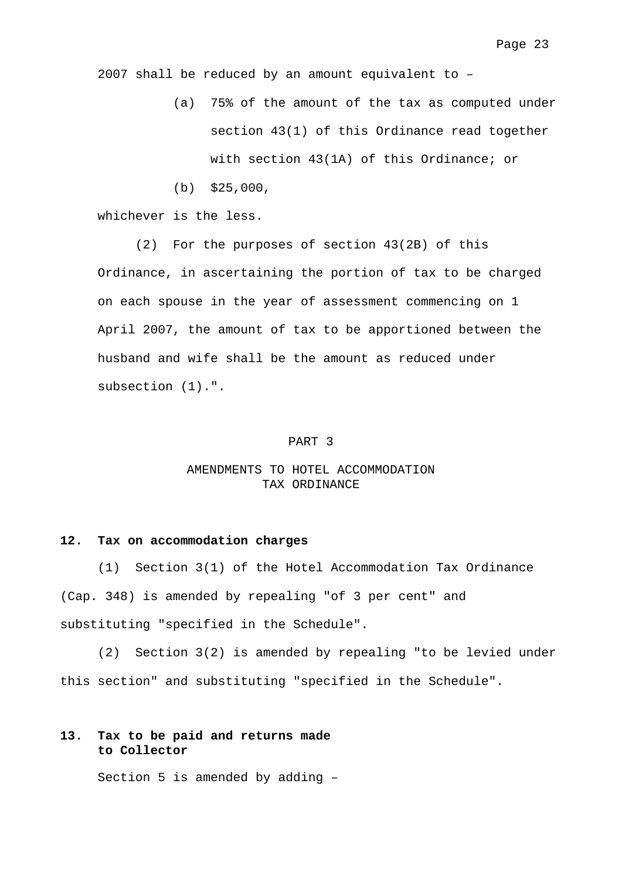2007 shall be reduced by an amount equivalent to –

- (a) 75% of the amount of the tax as computed under section 43(1) of this Ordinance read together with section 43(1A) of this Ordinance; or
- (b) \$25,000,

whichever is the less.

 (2) For the purposes of section 43(2B) of this Ordinance, in ascertaining the portion of tax to be charged on each spouse in the year of assessment commencing on 1 April 2007, the amount of tax to be apportioned between the husband and wife shall be the amount as reduced under subsection (1).".

#### PART 3

## AMENDMENTS TO HOTEL ACCOMMODATION TAX ORDINANCE

#### **12. Tax on accommodation charges**

 (1) Section 3(1) of the Hotel Accommodation Tax Ordinance (Cap. 348) is amended by repealing "of 3 per cent" and substituting "specified in the Schedule".

 (2) Section 3(2) is amended by repealing "to be levied under this section" and substituting "specified in the Schedule".

## **13. Tax to be paid and returns made to Collector**

Section 5 is amended by adding –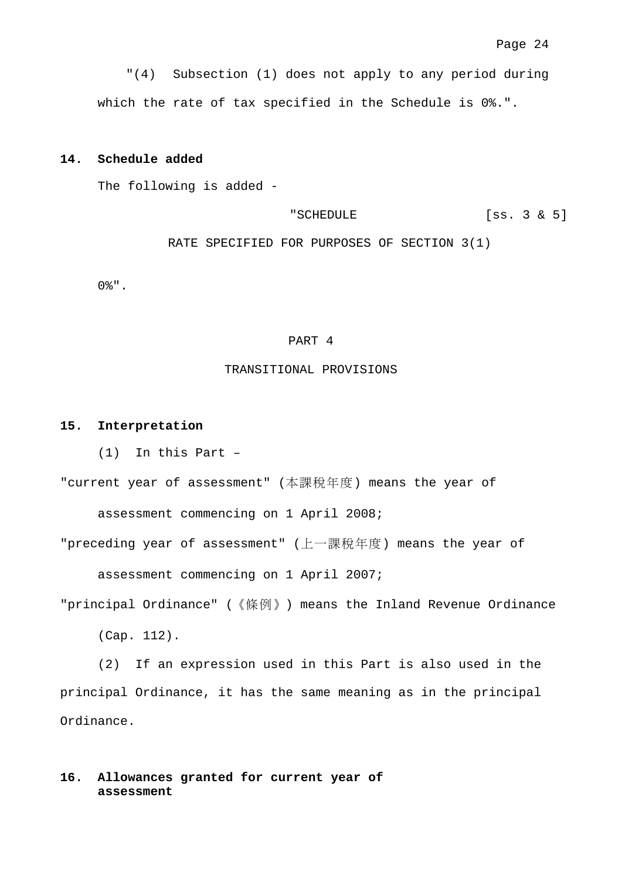"(4) Subsection (1) does not apply to any period during which the rate of tax specified in the Schedule is 0%.".

#### **14. Schedule added**

The following is added -

"SCHEDULE [ss. 3 & 5]

RATE SPECIFIED FOR PURPOSES OF SECTION 3(1)

0%".

#### PART 4

#### TRANSITIONAL PROVISIONS

#### **15. Interpretation**

(1) In this Part –

"current year of assessment" (本課稅年度) means the year of

assessment commencing on 1 April 2008;

"preceding year of assessment" (上一課稅年度) means the year of

assessment commencing on 1 April 2007;

"principal Ordinance" (《條例》) means the Inland Revenue Ordinance

(Cap. 112).

 (2) If an expression used in this Part is also used in the principal Ordinance, it has the same meaning as in the principal Ordinance.

## **16. Allowances granted for current year of assessment**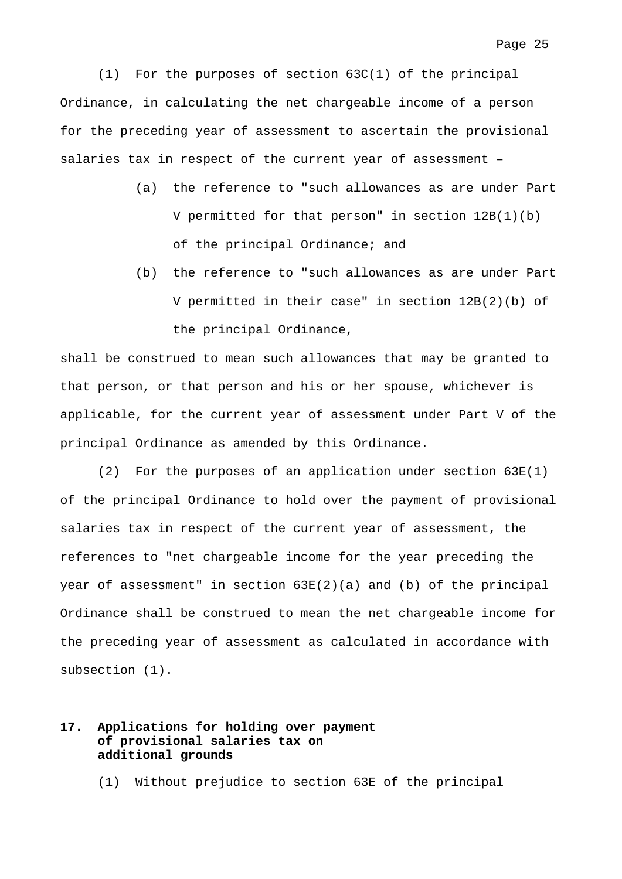(1) For the purposes of section 63C(1) of the principal Ordinance, in calculating the net chargeable income of a person for the preceding year of assessment to ascertain the provisional salaries tax in respect of the current year of assessment –

- (a) the reference to "such allowances as are under Part V permitted for that person" in section 12B(1)(b) of the principal Ordinance; and
- (b) the reference to "such allowances as are under Part V permitted in their case" in section 12B(2)(b) of the principal Ordinance,

shall be construed to mean such allowances that may be granted to that person, or that person and his or her spouse, whichever is applicable, for the current year of assessment under Part V of the principal Ordinance as amended by this Ordinance.

 (2) For the purposes of an application under section 63E(1) of the principal Ordinance to hold over the payment of provisional salaries tax in respect of the current year of assessment, the references to "net chargeable income for the year preceding the year of assessment" in section 63E(2)(a) and (b) of the principal Ordinance shall be construed to mean the net chargeable income for the preceding year of assessment as calculated in accordance with subsection (1).

## **17. Applications for holding over payment of provisional salaries tax on additional grounds**

(1) Without prejudice to section 63E of the principal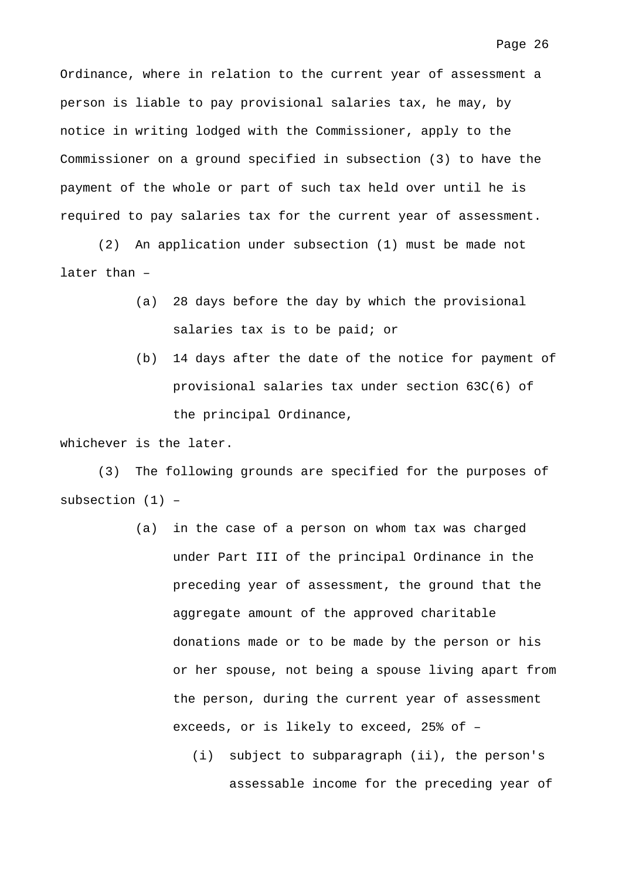Ordinance, where in relation to the current year of assessment a person is liable to pay provisional salaries tax, he may, by notice in writing lodged with the Commissioner, apply to the Commissioner on a ground specified in subsection (3) to have the payment of the whole or part of such tax held over until he is required to pay salaries tax for the current year of assessment.

 (2) An application under subsection (1) must be made not later than –

- (a) 28 days before the day by which the provisional salaries tax is to be paid; or
- (b) 14 days after the date of the notice for payment of provisional salaries tax under section 63C(6) of the principal Ordinance,

whichever is the later.

 (3) The following grounds are specified for the purposes of subsection (1) –

- (a) in the case of a person on whom tax was charged under Part III of the principal Ordinance in the preceding year of assessment, the ground that the aggregate amount of the approved charitable donations made or to be made by the person or his or her spouse, not being a spouse living apart from the person, during the current year of assessment exceeds, or is likely to exceed, 25% of –
	- (i) subject to subparagraph (ii), the person's assessable income for the preceding year of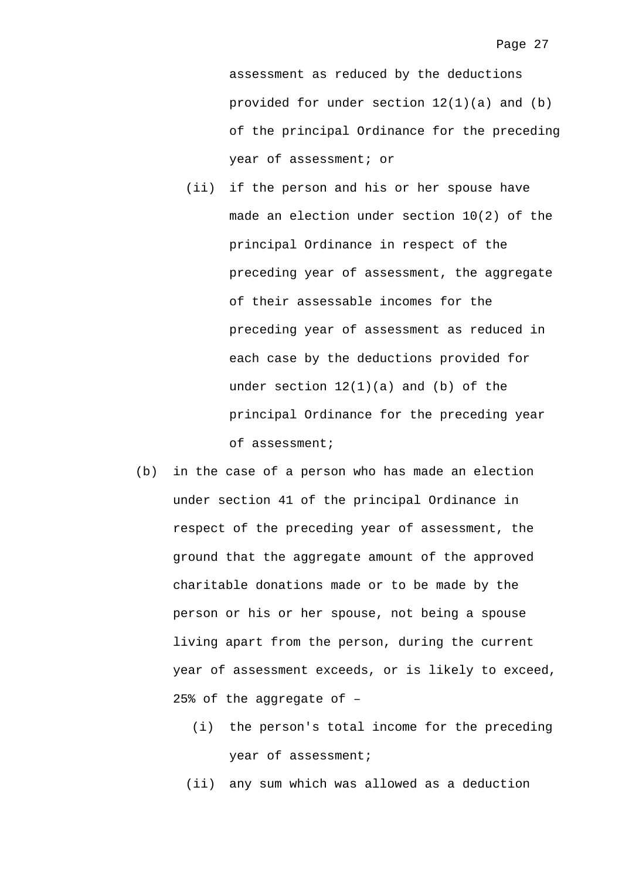assessment as reduced by the deductions provided for under section 12(1)(a) and (b) of the principal Ordinance for the preceding year of assessment; or

- (ii) if the person and his or her spouse have made an election under section 10(2) of the principal Ordinance in respect of the preceding year of assessment, the aggregate of their assessable incomes for the preceding year of assessment as reduced in each case by the deductions provided for under section 12(1)(a) and (b) of the principal Ordinance for the preceding year of assessment;
- (b) in the case of a person who has made an election under section 41 of the principal Ordinance in respect of the preceding year of assessment, the ground that the aggregate amount of the approved charitable donations made or to be made by the person or his or her spouse, not being a spouse living apart from the person, during the current year of assessment exceeds, or is likely to exceed, 25% of the aggregate of –
	- (i) the person's total income for the preceding year of assessment;
	- (ii) any sum which was allowed as a deduction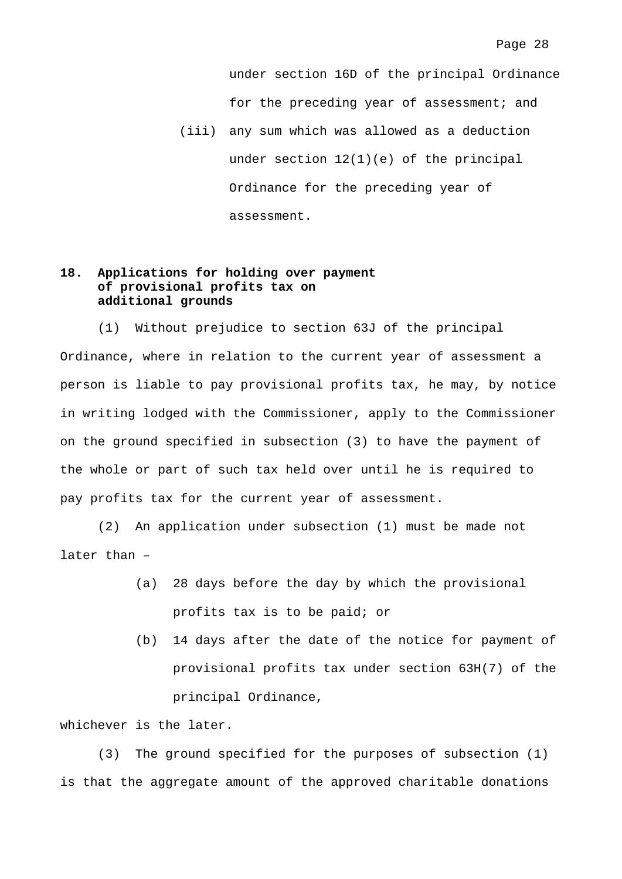under section 16D of the principal Ordinance for the preceding year of assessment; and

(iii) any sum which was allowed as a deduction under section 12(1)(e) of the principal Ordinance for the preceding year of assessment.

## **18. Applications for holding over payment of provisional profits tax on additional grounds**

 (1) Without prejudice to section 63J of the principal Ordinance, where in relation to the current year of assessment a person is liable to pay provisional profits tax, he may, by notice in writing lodged with the Commissioner, apply to the Commissioner on the ground specified in subsection (3) to have the payment of the whole or part of such tax held over until he is required to pay profits tax for the current year of assessment.

 (2) An application under subsection (1) must be made not later than –

- (a) 28 days before the day by which the provisional profits tax is to be paid; or
- (b) 14 days after the date of the notice for payment of provisional profits tax under section 63H(7) of the principal Ordinance,

whichever is the later.

 (3) The ground specified for the purposes of subsection (1) is that the aggregate amount of the approved charitable donations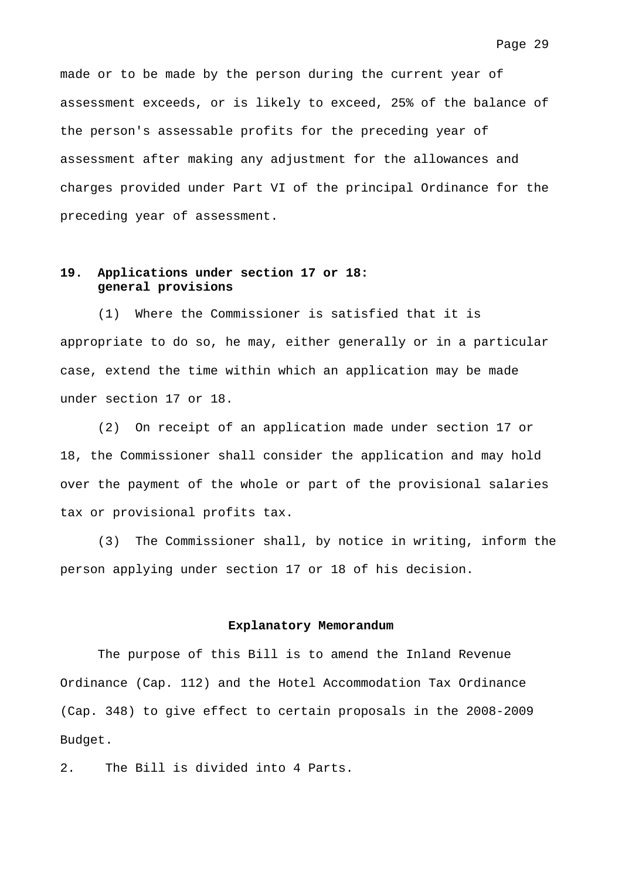made or to be made by the person during the current year of assessment exceeds, or is likely to exceed, 25% of the balance of the person's assessable profits for the preceding year of assessment after making any adjustment for the allowances and charges provided under Part VI of the principal Ordinance for the preceding year of assessment.

### **19. Applications under section 17 or 18: general provisions**

 (1) Where the Commissioner is satisfied that it is appropriate to do so, he may, either generally or in a particular case, extend the time within which an application may be made under section 17 or 18.

 (2) On receipt of an application made under section 17 or 18, the Commissioner shall consider the application and may hold over the payment of the whole or part of the provisional salaries tax or provisional profits tax.

 (3) The Commissioner shall, by notice in writing, inform the person applying under section 17 or 18 of his decision.

#### **Explanatory Memorandum**

 The purpose of this Bill is to amend the Inland Revenue Ordinance (Cap. 112) and the Hotel Accommodation Tax Ordinance (Cap. 348) to give effect to certain proposals in the 2008-2009 Budget.

2. The Bill is divided into 4 Parts.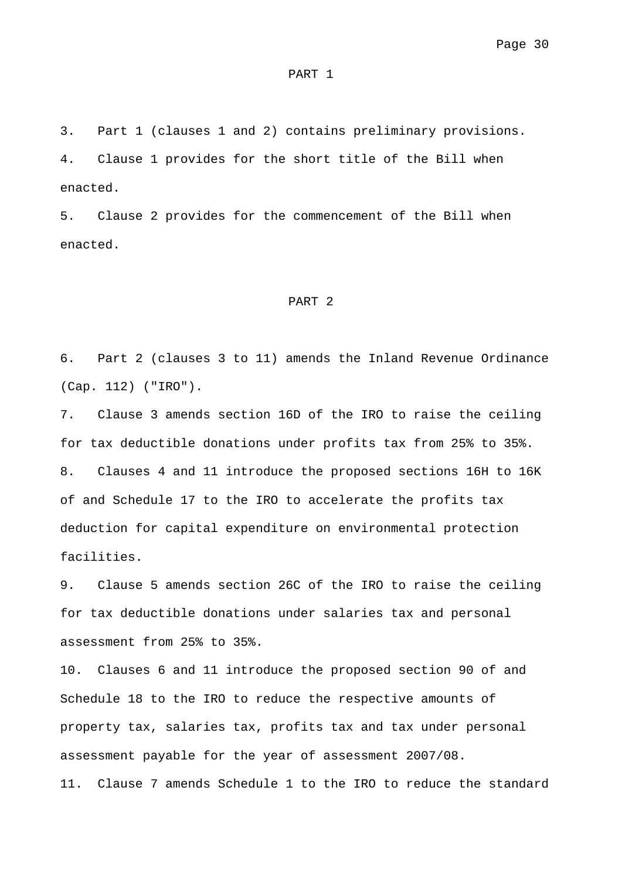#### PART 1

3. Part 1 (clauses 1 and 2) contains preliminary provisions.

4. Clause 1 provides for the short title of the Bill when enacted.

5. Clause 2 provides for the commencement of the Bill when enacted.

#### PART 2

6. Part 2 (clauses 3 to 11) amends the Inland Revenue Ordinance (Cap. 112) ("IRO").

7. Clause 3 amends section 16D of the IRO to raise the ceiling for tax deductible donations under profits tax from 25% to 35%. 8. Clauses 4 and 11 introduce the proposed sections 16H to 16K of and Schedule 17 to the IRO to accelerate the profits tax deduction for capital expenditure on environmental protection facilities.

9. Clause 5 amends section 26C of the IRO to raise the ceiling for tax deductible donations under salaries tax and personal assessment from 25% to 35%.

10. Clauses 6 and 11 introduce the proposed section 90 of and Schedule 18 to the IRO to reduce the respective amounts of property tax, salaries tax, profits tax and tax under personal assessment payable for the year of assessment 2007/08.

11. Clause 7 amends Schedule 1 to the IRO to reduce the standard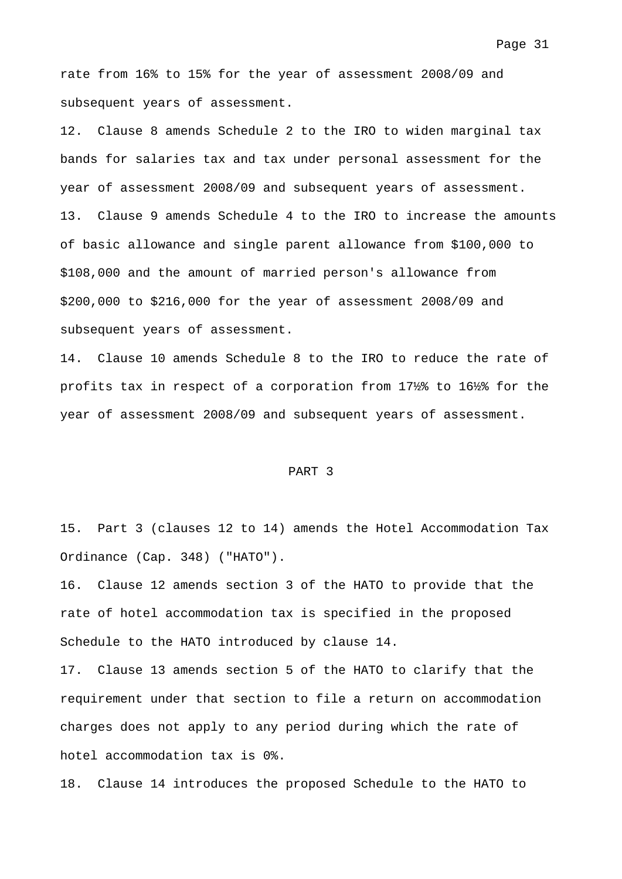rate from 16% to 15% for the year of assessment 2008/09 and subsequent years of assessment.

12. Clause 8 amends Schedule 2 to the IRO to widen marginal tax bands for salaries tax and tax under personal assessment for the year of assessment 2008/09 and subsequent years of assessment. 13. Clause 9 amends Schedule 4 to the IRO to increase the amounts of basic allowance and single parent allowance from \$100,000 to \$108,000 and the amount of married person's allowance from \$200,000 to \$216,000 for the year of assessment 2008/09 and subsequent years of assessment.

14. Clause 10 amends Schedule 8 to the IRO to reduce the rate of profits tax in respect of a corporation from 17½% to 16½% for the year of assessment 2008/09 and subsequent years of assessment.

#### PART 3

15. Part 3 (clauses 12 to 14) amends the Hotel Accommodation Tax Ordinance (Cap. 348) ("HATO").

16. Clause 12 amends section 3 of the HATO to provide that the rate of hotel accommodation tax is specified in the proposed Schedule to the HATO introduced by clause 14.

17. Clause 13 amends section 5 of the HATO to clarify that the requirement under that section to file a return on accommodation charges does not apply to any period during which the rate of hotel accommodation tax is 0%.

18. Clause 14 introduces the proposed Schedule to the HATO to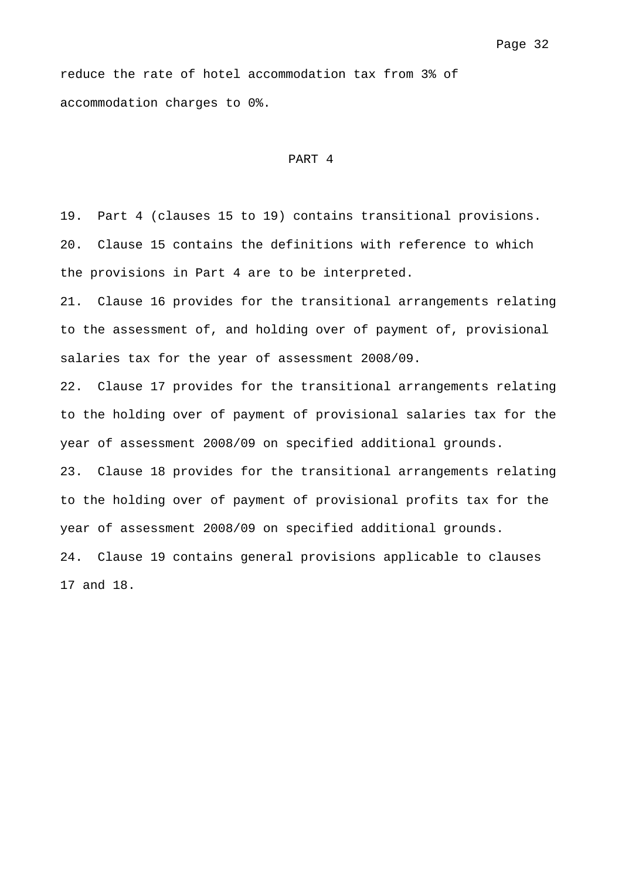reduce the rate of hotel accommodation tax from 3% of accommodation charges to 0%.

#### PART 4

19. Part 4 (clauses 15 to 19) contains transitional provisions. 20. Clause 15 contains the definitions with reference to which the provisions in Part 4 are to be interpreted.

21. Clause 16 provides for the transitional arrangements relating to the assessment of, and holding over of payment of, provisional salaries tax for the year of assessment 2008/09.

22. Clause 17 provides for the transitional arrangements relating to the holding over of payment of provisional salaries tax for the year of assessment 2008/09 on specified additional grounds.

23. Clause 18 provides for the transitional arrangements relating to the holding over of payment of provisional profits tax for the year of assessment 2008/09 on specified additional grounds.

24. Clause 19 contains general provisions applicable to clauses 17 and 18.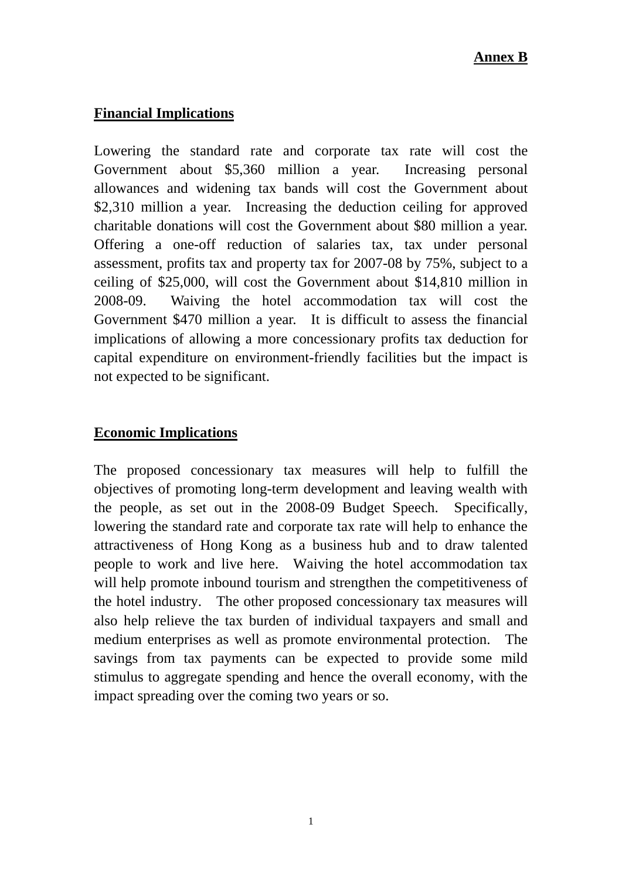# **Financial Implications**

Lowering the standard rate and corporate tax rate will cost the Government about \$5,360 million a year. Increasing personal allowances and widening tax bands will cost the Government about \$2,310 million a year. Increasing the deduction ceiling for approved charitable donations will cost the Government about \$80 million a year. Offering a one-off reduction of salaries tax, tax under personal assessment, profits tax and property tax for 2007-08 by 75%, subject to a ceiling of \$25,000, will cost the Government about \$14,810 million in 2008-09. Waiving the hotel accommodation tax will cost the Government \$470 million a year. It is difficult to assess the financial implications of allowing a more concessionary profits tax deduction for capital expenditure on environment-friendly facilities but the impact is not expected to be significant.

# **Economic Implications**

The proposed concessionary tax measures will help to fulfill the objectives of promoting long-term development and leaving wealth with the people, as set out in the 2008-09 Budget Speech. Specifically, lowering the standard rate and corporate tax rate will help to enhance the attractiveness of Hong Kong as a business hub and to draw talented people to work and live here. Waiving the hotel accommodation tax will help promote inbound tourism and strengthen the competitiveness of the hotel industry. The other proposed concessionary tax measures will also help relieve the tax burden of individual taxpayers and small and medium enterprises as well as promote environmental protection. The savings from tax payments can be expected to provide some mild stimulus to aggregate spending and hence the overall economy, with the impact spreading over the coming two years or so.